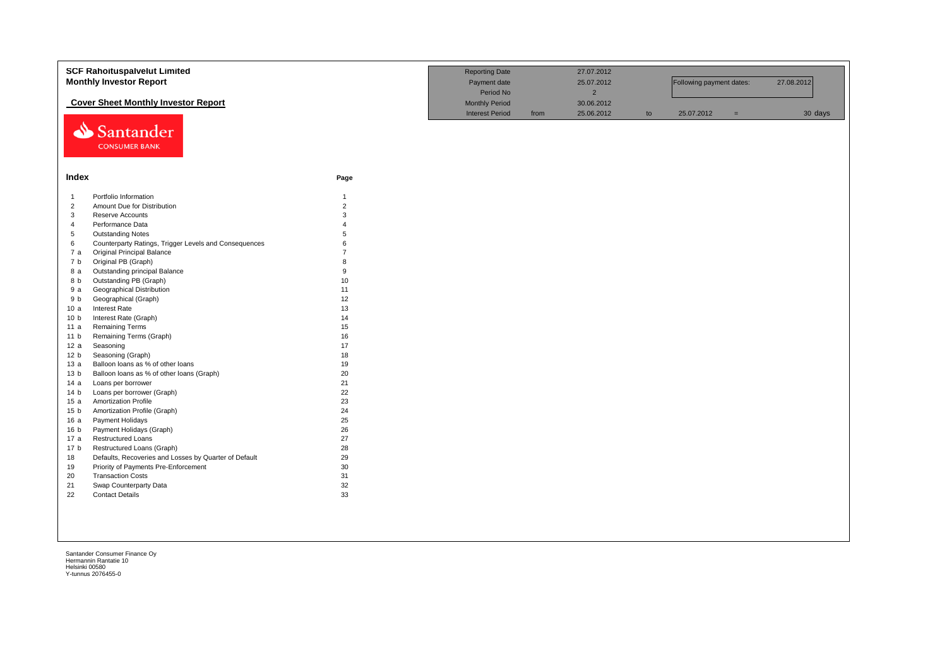|                 | <b>SCF Rahoituspalvelut Limited</b>                   |                | <b>Reporting Date</b>  |      | 27.07.2012     |    |                          |     |            |
|-----------------|-------------------------------------------------------|----------------|------------------------|------|----------------|----|--------------------------|-----|------------|
|                 | <b>Monthly Investor Report</b>                        |                | Payment date           |      | 25.07.2012     |    | Following payment dates: |     | 27.08.2012 |
|                 |                                                       |                | Period No              |      | $\overline{2}$ |    |                          |     |            |
|                 | <b>Cover Sheet Monthly Investor Report</b>            |                | <b>Monthly Period</b>  |      | 30.06.2012     |    |                          |     |            |
|                 |                                                       |                | <b>Interest Period</b> | from | 25.06.2012     | to | 25.07.2012               | $=$ | 30 days    |
|                 | Santander<br><b>CONSUMER BANK</b>                     |                |                        |      |                |    |                          |     |            |
| Index           |                                                       | Page           |                        |      |                |    |                          |     |            |
| $\overline{1}$  | Portfolio Information                                 | $\overline{1}$ |                        |      |                |    |                          |     |            |
| $\overline{2}$  | Amount Due for Distribution                           | $\overline{2}$ |                        |      |                |    |                          |     |            |
| 3               | Reserve Accounts                                      | 3              |                        |      |                |    |                          |     |            |
| $\overline{4}$  | Performance Data                                      |                |                        |      |                |    |                          |     |            |
| 5               | <b>Outstanding Notes</b>                              | 5              |                        |      |                |    |                          |     |            |
| 6               | Counterparty Ratings, Trigger Levels and Consequences | 6              |                        |      |                |    |                          |     |            |
| 7 a             | <b>Original Principal Balance</b>                     | $\overline{7}$ |                        |      |                |    |                          |     |            |
| 7 <sub>b</sub>  | Original PB (Graph)                                   | 8              |                        |      |                |    |                          |     |            |
| 8 a             | Outstanding principal Balance                         | 9              |                        |      |                |    |                          |     |            |
| 8 b             | Outstanding PB (Graph)                                | 10             |                        |      |                |    |                          |     |            |
| 9 a             | Geographical Distribution                             | 11             |                        |      |                |    |                          |     |            |
| 9 b             | Geographical (Graph)                                  | 12             |                        |      |                |    |                          |     |            |
| 10a             | Interest Rate                                         | 13             |                        |      |                |    |                          |     |            |
| 10 <sub>b</sub> | Interest Rate (Graph)                                 | 14             |                        |      |                |    |                          |     |            |
| 11a             | <b>Remaining Terms</b>                                | 15             |                        |      |                |    |                          |     |            |
| 11 <sub>b</sub> | Remaining Terms (Graph)                               | 16             |                        |      |                |    |                          |     |            |
| 12a             | Seasoning                                             | 17             |                        |      |                |    |                          |     |            |
| 12 <sub>b</sub> | Seasoning (Graph)                                     | 18             |                        |      |                |    |                          |     |            |
| 13a             | Balloon loans as % of other loans                     | 19             |                        |      |                |    |                          |     |            |
| 13 <sub>b</sub> | Balloon loans as % of other loans (Graph)             | 20             |                        |      |                |    |                          |     |            |
| 14a             | Loans per borrower                                    | 21             |                        |      |                |    |                          |     |            |
| 14 <sub>b</sub> | Loans per borrower (Graph)                            | 22             |                        |      |                |    |                          |     |            |
| 15a             | <b>Amortization Profile</b>                           | 23             |                        |      |                |    |                          |     |            |
| 15 <sub>b</sub> | Amortization Profile (Graph)                          | 24             |                        |      |                |    |                          |     |            |
| 16a             | Payment Holidays                                      | 25             |                        |      |                |    |                          |     |            |
| 16 <sub>b</sub> | Payment Holidays (Graph)                              | 26             |                        |      |                |    |                          |     |            |
| 17a             | <b>Restructured Loans</b>                             | 27             |                        |      |                |    |                          |     |            |
| 17 <sub>b</sub> | Restructured Loans (Graph)                            | 28             |                        |      |                |    |                          |     |            |
| 18              | Defaults, Recoveries and Losses by Quarter of Default | 29             |                        |      |                |    |                          |     |            |
| 19              | Priority of Payments Pre-Enforcement                  | 30             |                        |      |                |    |                          |     |            |
| 20              | <b>Transaction Costs</b>                              | 31             |                        |      |                |    |                          |     |            |
| 21              | Swap Counterparty Data                                | 32             |                        |      |                |    |                          |     |            |
| 22              | <b>Contact Details</b>                                | 33             |                        |      |                |    |                          |     |            |
|                 |                                                       |                |                        |      |                |    |                          |     |            |
|                 |                                                       |                |                        |      |                |    |                          |     |            |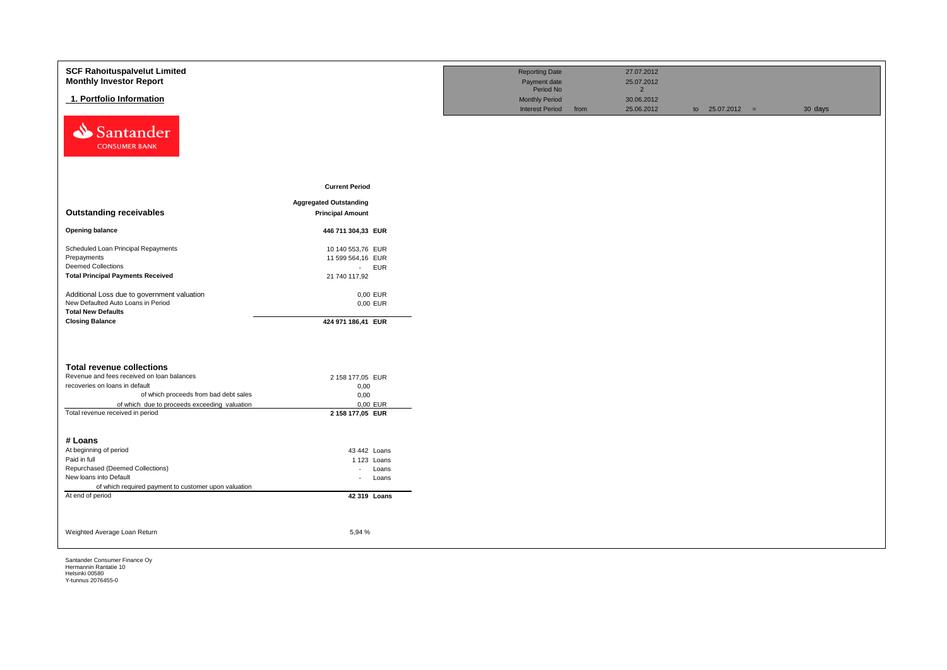| <b>SCF Rahoituspalvelut Limited</b><br><b>Monthly Investor Report</b>            |                                | <b>Reporting Date</b><br>Payment date                        |      | 27.07.2012<br>25.07.2012                   |                   |         |
|----------------------------------------------------------------------------------|--------------------------------|--------------------------------------------------------------|------|--------------------------------------------|-------------------|---------|
| 1. Portfolio Information                                                         |                                | Period No<br><b>Monthly Period</b><br><b>Interest Period</b> | from | $\overline{2}$<br>30.06.2012<br>25.06.2012 | to $25.07.2012 =$ | 30 days |
| Santander<br><b>CONSUMER BANK</b>                                                |                                |                                                              |      |                                            |                   |         |
|                                                                                  | <b>Current Period</b>          |                                                              |      |                                            |                   |         |
|                                                                                  | <b>Aggregated Outstanding</b>  |                                                              |      |                                            |                   |         |
| <b>Outstanding receivables</b>                                                   | <b>Principal Amount</b>        |                                                              |      |                                            |                   |         |
| <b>Opening balance</b>                                                           | 446 711 304,33 EUR             |                                                              |      |                                            |                   |         |
| Scheduled Loan Principal Repayments                                              | 10 140 553,76 EUR              |                                                              |      |                                            |                   |         |
| Prepayments                                                                      | 11 599 564,16 EUR              |                                                              |      |                                            |                   |         |
| <b>Deemed Collections</b>                                                        | - EUR                          |                                                              |      |                                            |                   |         |
| <b>Total Principal Payments Received</b>                                         | 21 740 117,92                  |                                                              |      |                                            |                   |         |
| Additional Loss due to government valuation                                      | 0,00 EUR                       |                                                              |      |                                            |                   |         |
| New Defaulted Auto Loans in Period                                               | 0,00 EUR                       |                                                              |      |                                            |                   |         |
| <b>Total New Defaults</b>                                                        |                                |                                                              |      |                                            |                   |         |
| <b>Closing Balance</b>                                                           | 424 971 186,41 EUR             |                                                              |      |                                            |                   |         |
|                                                                                  |                                |                                                              |      |                                            |                   |         |
| <b>Total revenue collections</b>                                                 |                                |                                                              |      |                                            |                   |         |
| Revenue and fees received on loan balances                                       | 2 158 177,05 EUR               |                                                              |      |                                            |                   |         |
| recoveries on loans in default                                                   | 0,00                           |                                                              |      |                                            |                   |         |
| of which proceeds from bad debt sales                                            | 0,00                           |                                                              |      |                                            |                   |         |
| of which due to proceeds exceeding valuation<br>Total revenue received in period | 0,00 EUR<br>2 158 177,05 EUR   |                                                              |      |                                            |                   |         |
|                                                                                  |                                |                                                              |      |                                            |                   |         |
|                                                                                  |                                |                                                              |      |                                            |                   |         |
| # Loans                                                                          |                                |                                                              |      |                                            |                   |         |
| At beginning of period<br>Paid in full                                           | 43 442 Loans                   |                                                              |      |                                            |                   |         |
| Repurchased (Deemed Collections)                                                 | 1 123 Loans<br>Loans<br>$\sim$ |                                                              |      |                                            |                   |         |
| New loans into Default                                                           | Loans<br>$\sim$                |                                                              |      |                                            |                   |         |
| of which required payment to customer upon valuation                             |                                |                                                              |      |                                            |                   |         |
| At end of period                                                                 | 42 319 Loans                   |                                                              |      |                                            |                   |         |
|                                                                                  |                                |                                                              |      |                                            |                   |         |
| Weighted Average Loan Return                                                     | 5,94 %                         |                                                              |      |                                            |                   |         |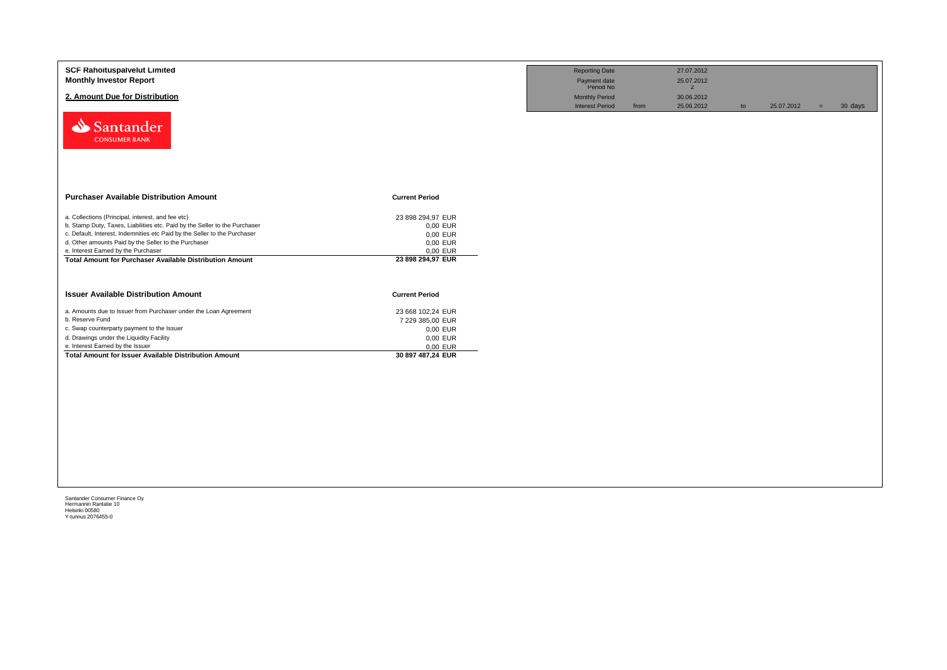| <b>SCF Rahoituspalvelut Limited</b><br><b>Monthly Investor Report</b>                                  |                               | <b>Reporting Date</b><br>Payment date<br>Period No | 27.07.2012<br>25.07.2012              |                  |                |
|--------------------------------------------------------------------------------------------------------|-------------------------------|----------------------------------------------------|---------------------------------------|------------------|----------------|
| 2. Amount Due for Distribution                                                                         |                               | <b>Monthly Period</b><br><b>Interest Period</b>    | 2<br>30.06.2012<br>25.06.2012<br>from | 25.07.2012<br>to | 30 days<br>$=$ |
| Santander<br><b>CONSUMER BANK</b>                                                                      |                               |                                                    |                                       |                  |                |
|                                                                                                        |                               |                                                    |                                       |                  |                |
| <b>Purchaser Available Distribution Amount</b>                                                         | <b>Current Period</b>         |                                                    |                                       |                  |                |
| a. Collections (Principal, interest, and fee etc)                                                      | 23 898 294.97 EUR             |                                                    |                                       |                  |                |
| b. Stamp Duty, Taxes, Liabilities etc. Paid by the Seller to the Purchaser                             | 0,00 EUR                      |                                                    |                                       |                  |                |
| c. Default, Interest, Indemnities etc Paid by the Seller to the Purchaser                              | 0,00 EUR                      |                                                    |                                       |                  |                |
| d. Other amounts Paid by the Seller to the Purchaser                                                   | 0,00 EUR                      |                                                    |                                       |                  |                |
| e. Interest Earned by the Purchaser<br><b>Total Amount for Purchaser Available Distribution Amount</b> | 0,00 EUR<br>23 898 294,97 EUR |                                                    |                                       |                  |                |
|                                                                                                        |                               |                                                    |                                       |                  |                |
|                                                                                                        |                               |                                                    |                                       |                  |                |
| <b>Issuer Available Distribution Amount</b>                                                            | <b>Current Period</b>         |                                                    |                                       |                  |                |
| a. Amounts due to Issuer from Purchaser under the Loan Agreement                                       | 23 668 102,24 EUR             |                                                    |                                       |                  |                |
| b. Reserve Fund                                                                                        | 7 229 385,00 EUR              |                                                    |                                       |                  |                |
| c. Swap counterparty payment to the Issuer                                                             | 0,00 EUR                      |                                                    |                                       |                  |                |
| d. Drawings under the Liquidity Facility                                                               | 0,00 EUR                      |                                                    |                                       |                  |                |
| e. Interest Earned by the Issuer                                                                       | 0,00 EUR                      |                                                    |                                       |                  |                |
| <b>Total Amount for Issuer Available Distribution Amount</b>                                           | 30 897 487,24 EUR             |                                                    |                                       |                  |                |
|                                                                                                        |                               |                                                    |                                       |                  |                |
|                                                                                                        |                               |                                                    |                                       |                  |                |
|                                                                                                        |                               |                                                    |                                       |                  |                |
|                                                                                                        |                               |                                                    |                                       |                  |                |
|                                                                                                        |                               |                                                    |                                       |                  |                |
|                                                                                                        |                               |                                                    |                                       |                  |                |
|                                                                                                        |                               |                                                    |                                       |                  |                |
|                                                                                                        |                               |                                                    |                                       |                  |                |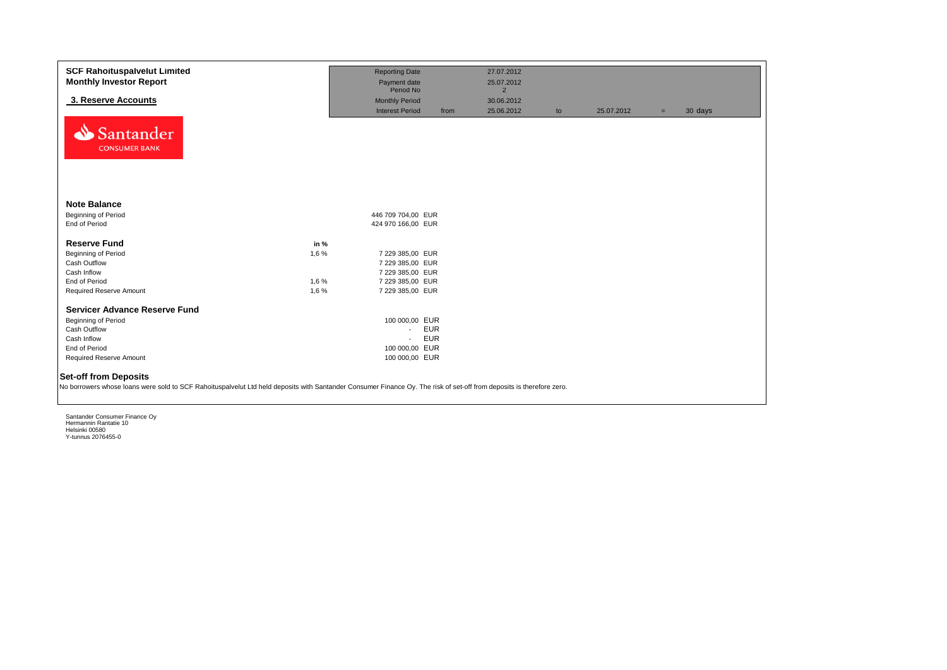| <b>SCF Rahoituspalvelut Limited</b>                                                                                                                                                                   |       | <b>Reporting Date</b>  |            | 27.07.2012     |    |            |     |         |
|-------------------------------------------------------------------------------------------------------------------------------------------------------------------------------------------------------|-------|------------------------|------------|----------------|----|------------|-----|---------|
| <b>Monthly Investor Report</b>                                                                                                                                                                        |       | Payment date           |            | 25.07.2012     |    |            |     |         |
|                                                                                                                                                                                                       |       | Period No              |            | $\overline{2}$ |    |            |     |         |
| 3. Reserve Accounts                                                                                                                                                                                   |       | <b>Monthly Period</b>  |            | 30.06.2012     |    |            |     |         |
|                                                                                                                                                                                                       |       | <b>Interest Period</b> | from       | 25.06.2012     | to | 25.07.2012 | $=$ | 30 days |
| Santander<br><b>CONSUMER BANK</b>                                                                                                                                                                     |       |                        |            |                |    |            |     |         |
| <b>Note Balance</b><br><b>Beginning of Period</b>                                                                                                                                                     |       | 446 709 704,00 EUR     |            |                |    |            |     |         |
| End of Period                                                                                                                                                                                         |       | 424 970 166,00 EUR     |            |                |    |            |     |         |
|                                                                                                                                                                                                       |       |                        |            |                |    |            |     |         |
| <b>Reserve Fund</b>                                                                                                                                                                                   | in %  |                        |            |                |    |            |     |         |
| <b>Beginning of Period</b>                                                                                                                                                                            | 1,6 % | 7 229 385,00 EUR       |            |                |    |            |     |         |
| Cash Outflow                                                                                                                                                                                          |       | 7 229 385,00 EUR       |            |                |    |            |     |         |
| Cash Inflow                                                                                                                                                                                           |       | 7 229 385,00 EUR       |            |                |    |            |     |         |
| End of Period                                                                                                                                                                                         | 1,6 % | 7 229 385,00 EUR       |            |                |    |            |     |         |
| Required Reserve Amount                                                                                                                                                                               | 1,6 % | 7 229 385,00 EUR       |            |                |    |            |     |         |
| <b>Servicer Advance Reserve Fund</b>                                                                                                                                                                  |       | 100 000,00 EUR         |            |                |    |            |     |         |
| Beginning of Period<br>Cash Outflow                                                                                                                                                                   |       | $\sim$                 | <b>EUR</b> |                |    |            |     |         |
| Cash Inflow                                                                                                                                                                                           |       | $\sim$                 | <b>EUR</b> |                |    |            |     |         |
| End of Period                                                                                                                                                                                         |       | 100 000,00 EUR         |            |                |    |            |     |         |
| Required Reserve Amount                                                                                                                                                                               |       | 100 000,00 EUR         |            |                |    |            |     |         |
|                                                                                                                                                                                                       |       |                        |            |                |    |            |     |         |
| <b>Set-off from Deposits</b><br>No borrowers whose loans were sold to SCF Rahoituspalvelut Ltd held deposits with Santander Consumer Finance Oy. The risk of set-off from deposits is therefore zero. |       |                        |            |                |    |            |     |         |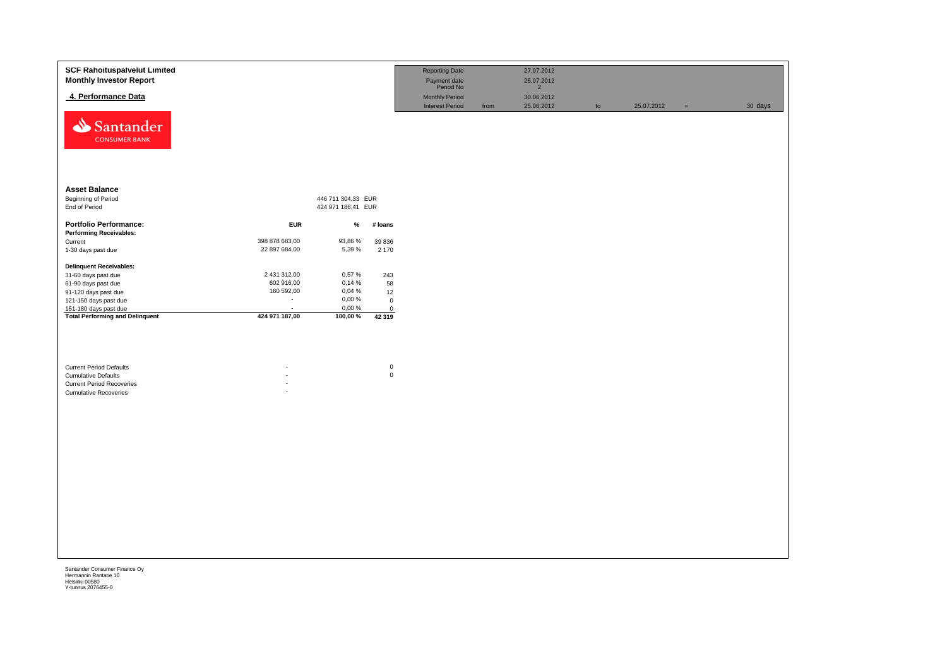| <b>SCF Rahoituspalvelut Limited</b><br><b>Monthly Investor Report</b>                                                            |                          |                    |                            | <b>Reporting Date</b><br>Payment date<br>Period No |      | 27.07.2012<br>25.07.2012<br>$\overline{2}$ |    |            |          |         |
|----------------------------------------------------------------------------------------------------------------------------------|--------------------------|--------------------|----------------------------|----------------------------------------------------|------|--------------------------------------------|----|------------|----------|---------|
| 4. Performance Data                                                                                                              |                          |                    |                            | <b>Monthly Period</b><br><b>Interest Period</b>    | from | 30.06.2012<br>25.06.2012                   | to | 25.07.2012 | $\equiv$ | 30 days |
| Santander<br><b>CONSUMER BANK</b>                                                                                                |                          |                    |                            |                                                    |      |                                            |    |            |          |         |
| <b>Asset Balance</b>                                                                                                             |                          |                    |                            |                                                    |      |                                            |    |            |          |         |
| <b>Beginning of Period</b>                                                                                                       |                          | 446 711 304,33 EUR |                            |                                                    |      |                                            |    |            |          |         |
| End of Period                                                                                                                    |                          | 424 971 186,41 EUR |                            |                                                    |      |                                            |    |            |          |         |
| <b>Portfolio Performance:</b>                                                                                                    | <b>EUR</b>               | $\%$               | # loans                    |                                                    |      |                                            |    |            |          |         |
| <b>Performing Receivables:</b>                                                                                                   |                          |                    |                            |                                                    |      |                                            |    |            |          |         |
| Current                                                                                                                          | 398 878 683,00           | 93,86 %            | 39 836                     |                                                    |      |                                            |    |            |          |         |
| 1-30 days past due                                                                                                               | 22 897 684,00            | 5,39 %             | 2 170                      |                                                    |      |                                            |    |            |          |         |
| <b>Delinquent Receivables:</b>                                                                                                   |                          |                    |                            |                                                    |      |                                            |    |            |          |         |
| 31-60 days past due                                                                                                              | 2 431 312,00             | 0,57%              | 243                        |                                                    |      |                                            |    |            |          |         |
| 61-90 days past due                                                                                                              | 602 916,00               | 0,14%              | 58                         |                                                    |      |                                            |    |            |          |         |
| 91-120 days past due                                                                                                             | 160 592,00               | 0,04 %             | 12                         |                                                    |      |                                            |    |            |          |         |
| 121-150 days past due                                                                                                            | $\sim$                   | 0,00%              | $\mathbf 0$                |                                                    |      |                                            |    |            |          |         |
| 151-180 days past due                                                                                                            | $\overline{\phantom{a}}$ | 0,00%              | $\mathsf 0$                |                                                    |      |                                            |    |            |          |         |
| <b>Total Performing and Delinquent</b>                                                                                           | 424 971 187,00           | 100,00 %           | 42 319                     |                                                    |      |                                            |    |            |          |         |
| <b>Current Period Defaults</b><br><b>Cumulative Defaults</b><br><b>Current Period Recoveries</b><br><b>Cumulative Recoveries</b> |                          |                    | $\mathbf 0$<br>$\mathsf 0$ |                                                    |      |                                            |    |            |          |         |
|                                                                                                                                  |                          |                    |                            |                                                    |      |                                            |    |            |          |         |
|                                                                                                                                  |                          |                    |                            |                                                    |      |                                            |    |            |          |         |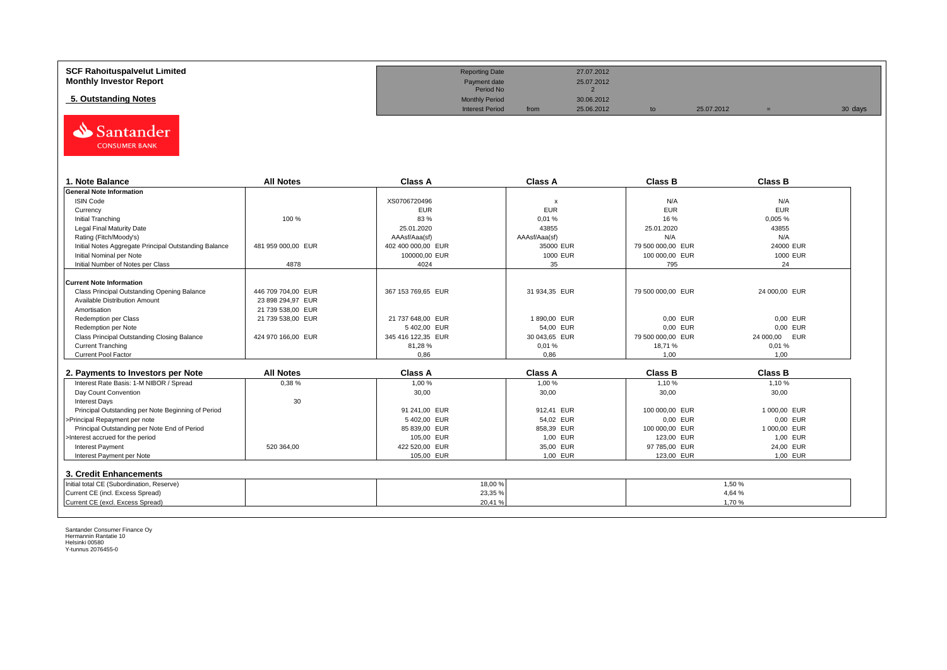| <b>SCF Rahoituspalvelut Limited</b><br><b>Monthly Investor Report</b> | <b>Reporting Date</b><br>Payment date<br>Period No |      | 27.07.2012<br>25.07.2012 |            |         |
|-----------------------------------------------------------------------|----------------------------------------------------|------|--------------------------|------------|---------|
| 5. Outstanding Notes                                                  | <b>Monthly Period</b><br><b>Interest Period</b>    | from | 30.06.2012<br>25.06.2012 | 25.07.2012 | 30 days |



| <b>. Note Balance</b>                                 | <b>All Notes</b>   | <b>Class A</b>     | <b>Class A</b> | <b>Class B</b>    | <b>Class B</b> |
|-------------------------------------------------------|--------------------|--------------------|----------------|-------------------|----------------|
| <b>General Note Information</b>                       |                    |                    |                |                   |                |
| <b>ISIN Code</b>                                      |                    | XS0706720496       |                | N/A               | N/A            |
| Currency                                              |                    | <b>EUR</b>         | <b>EUR</b>     | <b>EUR</b>        | <b>EUR</b>     |
| Initial Tranching                                     | 100 %              | 83%                | 0,01%          | 16 %              | 0,005 %        |
| Legal Final Maturity Date                             |                    | 25.01.2020         | 43855          | 25.01.2020        | 43855          |
| Rating (Fitch/Moody's)                                |                    | AAAsf/Aaa(sf)      | AAAsf/Aaa(sf)  | N/A               | N/A            |
| Initial Notes Aggregate Principal Outstanding Balance | 481 959 000.00 EUR | 402 400 000.00 EUR | 35000 EUR      | 79 500 000.00 EUR | 24000 EUR      |
| Initial Nominal per Note                              |                    | 100000,00 EUR      | 1000 EUR       | 100 000,00 EUR    | 1000 EUR       |
| Initial Number of Notes per Class                     | 4878               | 4024               | 35             | 795               | 24             |
|                                                       |                    |                    |                |                   |                |
| Current Note Information                              |                    |                    |                |                   |                |
| Class Principal Outstanding Opening Balance           | 446 709 704.00 EUR | 367 153 769.65 EUR | 31 934,35 EUR  | 79 500 000.00 EUR | 24 000,00 EUR  |
| Available Distribution Amount                         | 23 898 294,97 EUR  |                    |                |                   |                |
| Amortisation                                          | 21 739 538,00 EUR  |                    |                |                   |                |
| Redemption per Class                                  | 21 739 538,00 EUR  | 21 737 648,00 EUR  | 1890,00 EUR    | 0,00 EUR          | 0.00 EUR       |
| Redemption per Note                                   |                    | 5402,00 EUR        | 54,00 EUR      | 0.00 EUR          | 0.00 EUR       |
| Class Principal Outstanding Closing Balance           | 424 970 166.00 EUR | 345 416 122,35 EUR | 30 043,65 EUR  | 79 500 000.00 EUR | 24 000,00 EUR  |
| <b>Current Tranching</b>                              |                    | 81,28%             | 0,01%          | 18.71 %           | 0.01%          |
| <b>Current Pool Factor</b>                            |                    | 0.86               | 0.86           | 1.00              | 1,00           |

| 2. Payments to Investors per Note                  | <b>All Notes</b> | Class A        | <b>Class A</b> | Class B        | <b>Class B</b> |
|----------------------------------------------------|------------------|----------------|----------------|----------------|----------------|
| Interest Rate Basis: 1-M NIBOR / Spread            | 0,38%            | 1,00 %         | 1,00 %         | 1.10 %         | 1,10 %         |
| Day Count Convention                               |                  | 30,00          | 30,00          | 30,00          | 30,00          |
| <b>Interest Days</b>                               | 30               |                |                |                |                |
| Principal Outstanding per Note Beginning of Period |                  | 91 241.00 EUR  | 912.41 EUR     | 100 000,00 EUR | 1 000.00 EUR   |
| >Principal Repayment per note                      |                  | 5402.00 EUR    | 54.02 EUR      | 0.00 EUR       | 0.00 EUR       |
| Principal Outstanding per Note End of Period       |                  | 85 839.00 EUR  | 858.39 EUR     | 100 000,00 EUR | 1 000.00 EUR   |
| >Interest accrued for the period                   |                  | 105.00 EUR     | 1.00 EUR       | 123.00 EUR     | 1.00 EUR       |
| <b>Interest Payment</b>                            | 520 364.00       | 422 520.00 EUR | 35.00 EUR      | 97 785,00 EUR  | 24.00 EUR      |
| Interest Payment per Note                          |                  | 105.00 EUR     | 1.00 EUR       | 123.00 EUR     | 1.00 EUR       |
| 3. Credit Enhancements                             |                  |                |                |                |                |
| Initial total CE (Subordination, Reserve)          |                  | 18,00 %        |                |                | 1.50 %         |
| Current CE (incl. Excess Spread)                   |                  | 23,35 %        |                |                | 4,64 %         |
| Current CE (excl. Excess Spread)                   |                  | 20,41 %        |                |                | 1.70%          |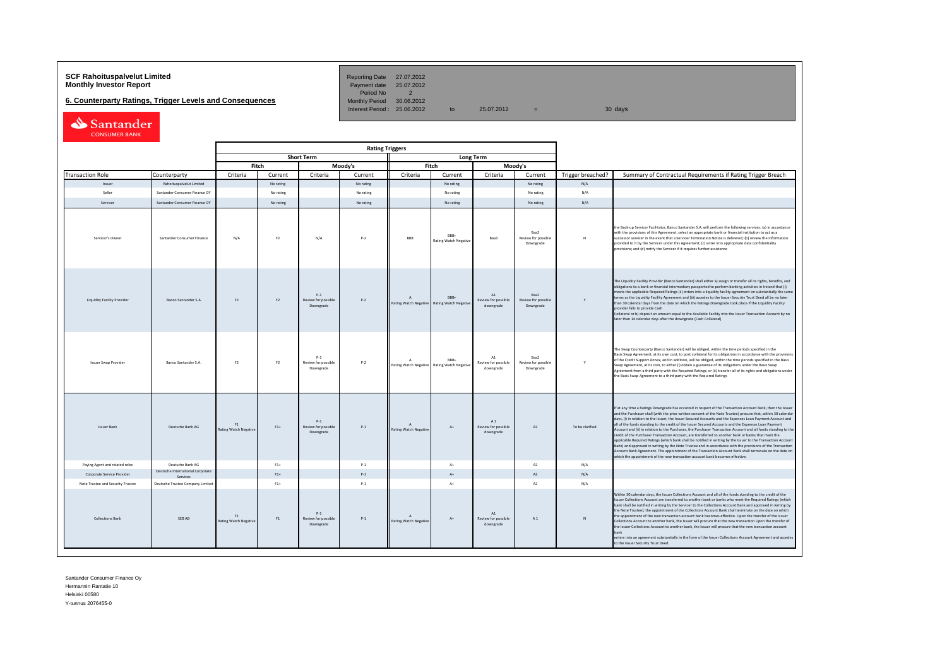# **SCF Rahoituspalvelut Limited Community Community Community Reporting Date 27.07.2012<br>
<b>Monthly Investor Report** Payment date 25.07.2012

**6. Counterparty Ratings, Trigger Levels and Consequences** 

Period No 2<br>Monthly Period 30.06.2012 Interest Period:  $25.06.2012$  to  $25.07.2012$  = 30 days

| Santander            |  |
|----------------------|--|
| <b>CONSUMER BANK</b> |  |

|                                   |                                              |                                    | <b>Rating Triggers</b> |                                           |           |                                           |                                                     |                                        |                                          |                   |                                                                                                                                                                                                                                                                                                                                                                                                                                                                                                                                                                                                                                                                                                                                                                                                                                                                                                                                                                                                                                                                                                      |
|-----------------------------------|----------------------------------------------|------------------------------------|------------------------|-------------------------------------------|-----------|-------------------------------------------|-----------------------------------------------------|----------------------------------------|------------------------------------------|-------------------|------------------------------------------------------------------------------------------------------------------------------------------------------------------------------------------------------------------------------------------------------------------------------------------------------------------------------------------------------------------------------------------------------------------------------------------------------------------------------------------------------------------------------------------------------------------------------------------------------------------------------------------------------------------------------------------------------------------------------------------------------------------------------------------------------------------------------------------------------------------------------------------------------------------------------------------------------------------------------------------------------------------------------------------------------------------------------------------------------|
|                                   |                                              |                                    |                        | <b>Short Term</b>                         |           |                                           |                                                     | <b>Long Term</b>                       |                                          |                   |                                                                                                                                                                                                                                                                                                                                                                                                                                                                                                                                                                                                                                                                                                                                                                                                                                                                                                                                                                                                                                                                                                      |
|                                   |                                              |                                    | Fitch                  |                                           | Moody's   | Fitch<br>Moody's                          |                                                     |                                        |                                          |                   |                                                                                                                                                                                                                                                                                                                                                                                                                                                                                                                                                                                                                                                                                                                                                                                                                                                                                                                                                                                                                                                                                                      |
| <b>Transaction Role</b>           | Counterparty                                 | Criteria                           | Current                | Criteria                                  | Current   | Criteria                                  | Current                                             | Criteria                               | Current                                  | Trigger breached? | Summary of Contractual Requirements if Rating Trigger Breach                                                                                                                                                                                                                                                                                                                                                                                                                                                                                                                                                                                                                                                                                                                                                                                                                                                                                                                                                                                                                                         |
| Issuer                            | Rahoituspalvelut Limited                     |                                    | No rating              |                                           | No rating |                                           | No rating                                           |                                        | No rating                                | N/A               |                                                                                                                                                                                                                                                                                                                                                                                                                                                                                                                                                                                                                                                                                                                                                                                                                                                                                                                                                                                                                                                                                                      |
| Seller                            | Santander Consumer Finance OY                |                                    | No rating              |                                           | No rating |                                           | No rating                                           |                                        | No rating                                | N/A               |                                                                                                                                                                                                                                                                                                                                                                                                                                                                                                                                                                                                                                                                                                                                                                                                                                                                                                                                                                                                                                                                                                      |
| Servicer                          | Santander Consumer Finance OY                |                                    | No rating              |                                           | No rating |                                           | No rating                                           |                                        | No rating                                | N/A               |                                                                                                                                                                                                                                                                                                                                                                                                                                                                                                                                                                                                                                                                                                                                                                                                                                                                                                                                                                                                                                                                                                      |
| Servicer's Owner                  | Santander Consumer Finance                   | N/A                                | F <sub>2</sub>         | N/A                                       | $P-2$     | <b>BBB</b>                                | RRR.<br>Rating Watch Negative                       | Baa3                                   | Raa2<br>Review for possible<br>Downgrade | N                 | the Back-up Servicer Facilitator, Banco Santander S.A, will perform the following services: (a) in accordance<br>with the provisions of this Agreement, select an appropriate bank or financial institution to act as a<br>auccessor servicer in the event that a Servicer Termination Notice is delivered; (b) review the information<br>provided to it by the Servicer under this Agreement; (c) enter into appropriate data confidentiality<br>provisions; and (d) notify the Servicer if it requires further assistance                                                                                                                                                                                                                                                                                                                                                                                                                                                                                                                                                                          |
| Liquidity Facility Provider       | Banco Santander S.A.                         | F <sub>2</sub>                     | F <sub>2</sub>         | $P-1$<br>Review for possible<br>Downgrade | $P-2$     | <b>Rating Watch Negative</b>              | BBB+<br><b>Rating Watch Negative</b>                | A1<br>Review for possible<br>downgrade | Baa2<br>Review for possible<br>Downgrade |                   | The Liquidity Facility Provider (Banco Santander) shall either a) assign or transfer all its rights, benefits, and<br>biligations to a bank or financial intermediary passported to perform banking activities in Ireland that (i)<br>neets the applicable Required Ratings (ii) enters into a liquidity facility agreement on substantially the same<br>erms as the Liquidity Facility Agreement and (iii) accedes to the Issuer Security Trust Deed all by no later<br>than 30 calendar days from the date on which the Ratings Downgrade took place if the Liquidity Facility<br>provider fails to provide Cash<br>Collateral or b) deposit an amount equal to the Available Facility into the Issuer Transaction Account by no<br>ater than 14 calendar days after the downgrade (Cash Collateral)                                                                                                                                                                                                                                                                                               |
| <b>Issuer Swap Provider</b>       | Banco Santander S.A.                         | F <sub>2</sub>                     | F2                     | $P-1$<br>Review for possible<br>Downgrade | $P-2$     | $\Lambda$                                 | RRR-<br>Rating Watch Negative Rating Watch Negative | A1<br>Review for possible<br>downgrade | Raa2<br>Review for possible<br>Downgrade | Y                 | The Swap Counterparty (Banco Santander) will be obliged, within the time periods specified in the<br>Basis Swap Agreement, at its own cost, to post collateral for its obligations in accordance with the provisions<br>of the Credit Support Annex, and in addition, will be obliged, within the time periods specified in the Basis<br>Swap Agreement, at its cost, to either (i) obtain a guarantee of its obligations under the Basis Swap<br>Agreement from a third party with the Required Ratings; or (ii) transfer all of its rights and obligations under<br>the Basis Swap Agreement to a third party with the Required Ratings                                                                                                                                                                                                                                                                                                                                                                                                                                                            |
| <b>Issuer Bank</b>                | Deutsche Bank AG                             | F1<br><b>Rating Watch Negative</b> | $F1+$                  | $P-1$<br>Review for possible<br>Downgrade | $P-1$     | $\Lambda$<br><b>Rating Watch Negative</b> | $A+$                                                | A1<br>Review for possible<br>downgrade | A2                                       | To be clarified   | If at any time a Ratings Downgrade has occurred in respect of the Transaction Account Bank, then the Issuer<br>and the Purchaser shall (with the prior written consent of the Note Trustee) procure that, within 30 calendar<br>days, (i) in relation to the Issuer, the Issuer Secured Accounts and the Expenses Loan Payment Account and<br>all of the funds standing to the credit of the Issuer Secured Accounts and the Expenses Loan Payment<br>Account and (ii) in relation to the Purchaser, the Purchaser Transaction Account and all funds standing to the<br>credit of the Purchaser Transaction Account, are transferred to another bank or banks that meet the<br>applicable Required Ratings (which bank shall be notified in writing by the Issuer to the Transaction Account<br>Bank) and approved in writing by the Note Trustee and in accordance with the provisions of the Transaction<br>Account Bank Agreement. The appointment of the Transaction Account Bank shall terminate on the date on<br>which the appointment of the new transaction account bank becomes effective. |
| Paying Agent and related roles    | Deutsche Bank AG                             |                                    | $F1+$                  |                                           | $P-1$     |                                           | $A+$                                                |                                        | A2                                       | N/A               |                                                                                                                                                                                                                                                                                                                                                                                                                                                                                                                                                                                                                                                                                                                                                                                                                                                                                                                                                                                                                                                                                                      |
| Corporate Service Provider        | Deutsche International Corporate<br>Services |                                    | $F1+$                  |                                           | $P-1$     |                                           | $\Lambda$                                           |                                        | A2                                       | N/A               |                                                                                                                                                                                                                                                                                                                                                                                                                                                                                                                                                                                                                                                                                                                                                                                                                                                                                                                                                                                                                                                                                                      |
| Note Trustee and Security Trustee | Deutsche Trustee Company Limited             |                                    | $F1+$                  |                                           | $P-1$     |                                           | $A+$                                                |                                        | A <sub>2</sub>                           | N/A               |                                                                                                                                                                                                                                                                                                                                                                                                                                                                                                                                                                                                                                                                                                                                                                                                                                                                                                                                                                                                                                                                                                      |
| <b>Collections Bank</b>           | SEB AB                                       | F1<br><b>Rating Watch Negative</b> | F1                     | $P-1$<br>Review for possible<br>Downgrade | $P-1$     | Rating Watch Negative                     | $A+$                                                | A1<br>Review for possible<br>downgrade | A1                                       |                   | Within 30 calendar days, the Issuer Collections Account and all of the funds standing to the credit of the<br>suer Collections Account are transferred to another bank or banks who meet the Required Ratings (which<br>ank shall be notified in writing by the Servicer to the Collections Account Bank and approved in writing by<br>he Note Trustee); the appointment of the Collections Account Bank shall terminate on the date on which<br>he appointment of the new transaction account bank becomes effective. Upon the transfer of the Issuer<br>ollections Account to another bank, the Issuer will procure that the new transaction Upon the transfer of<br>he Issuer Collections Acoount to another bank, the Issuer will procure that the new transaction account<br>enters into an agreement substantially in the form of the Issuer Collections Account Agreement and accedes<br>o the Issuer Security Trust Deed.                                                                                                                                                                    |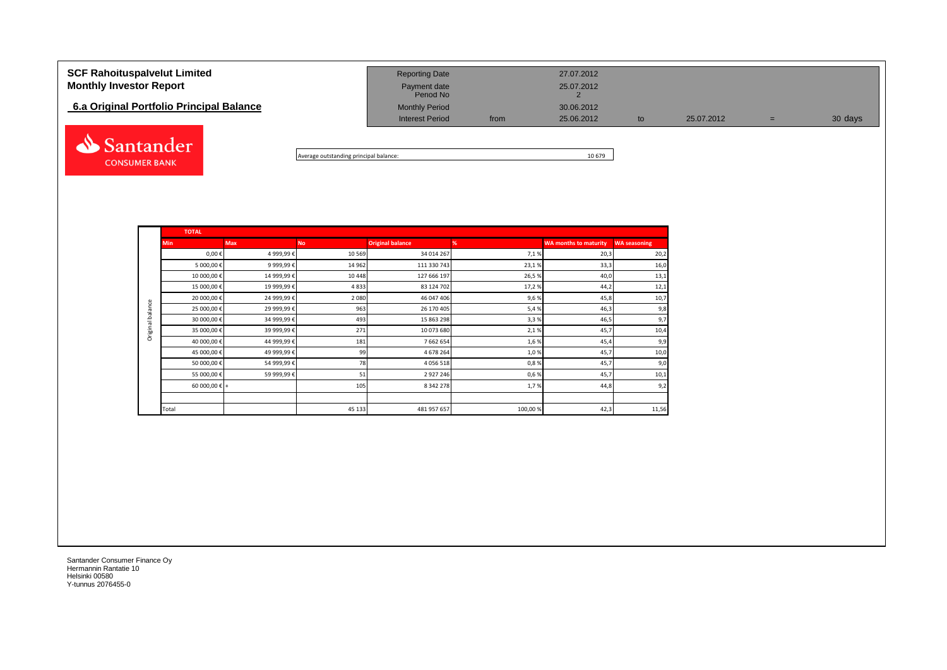| <b>SCF Rahoituspalvelut Limited</b><br><b>Monthly Investor Report</b><br>6.a Original Portfolio Principal Balance | <b>Reporting Date</b><br>Payment date<br>Period No<br><b>Monthly Period</b> |      | 27.07.2012<br>25.07.2012<br>30.06.2012 |    |            |     |         |
|-------------------------------------------------------------------------------------------------------------------|-----------------------------------------------------------------------------|------|----------------------------------------|----|------------|-----|---------|
| Santander                                                                                                         | <b>Interest Period</b>                                                      | from | 25.06.2012                             | to | 25.07.2012 | $=$ | 30 days |

Average outstanding principal balance: 10 679

|                  | <b>TOTAL</b>  |            |           |                         |         |                              |                     |
|------------------|---------------|------------|-----------|-------------------------|---------|------------------------------|---------------------|
|                  | <b>Min</b>    | <b>Max</b> | <b>No</b> | <b>Original balance</b> | %       | <b>WA months to maturity</b> | <b>WA seasoning</b> |
|                  | $0,00 \in$    | 4 999,99€  | 10 5 69   | 34 014 267              | 7,1%    | 20,3                         | 20,2                |
|                  | 5 000,00 €    | 9 999,99€  | 14 962    | 111 330 743             | 23,1%   | 33,3                         | 16,0                |
|                  | 10 000,00€    | 14 999,99€ | 10 4 48   | 127 666 197             | 26,5%   | 40,0                         | 13,1                |
|                  | 15 000,00€    | 19 999,99€ | 4833      | 83 124 702              | 17,2%   | 44,2                         | 12,1                |
|                  | 20 000,00 €   | 24 999,99€ | 2 0 8 0   | 46 047 406              | 9,6%    | 45,8                         | 10,7                |
| Original balance | 25 000,00 €   | 29 999,99€ | 963       | 26 170 405              | 5,4%    | 46,3                         | 9,8                 |
|                  | 30 000,00 €   | 34 999,99€ | 493       | 15 863 298              | 3,3%    | 46,5                         | 9,7                 |
|                  | 35 000,00€    | 39 999,99€ | 271       | 10 073 680              | 2,1%    | 45,7                         | 10,4                |
|                  | 40 000,00 €   | 44 999,99€ | 181       | 7 662 654               | 1,6%    | 45,4                         | 9,9                 |
|                  | 45 000,00 €   | 49 999,99€ | 99        | 4 678 264               | 1,0%    | 45,7                         | 10,0                |
|                  | 50 000,00€    | 54 999,99€ | 78        | 4 0 5 6 5 1 8           | 0,8%    | 45,7                         | 9,0                 |
|                  | 55 000,00 €   | 59 999,99€ | 51        | 2927246                 | 0,6%    | 45,7                         | 10,1                |
|                  | 60 000,00 € + |            | 105       | 8 342 278               | 1,7%    | 44,8                         | 9,2                 |
|                  |               |            |           |                         |         |                              |                     |
|                  | Total         |            | 45 133    | 481 957 657             | 100,00% | 42,3                         | 11,56               |

Santander Consumer Finance Oy Hermannin Rantatie 10 Helsinki 00580 Y-tunnus 2076455-0

**CONSUMER BANK**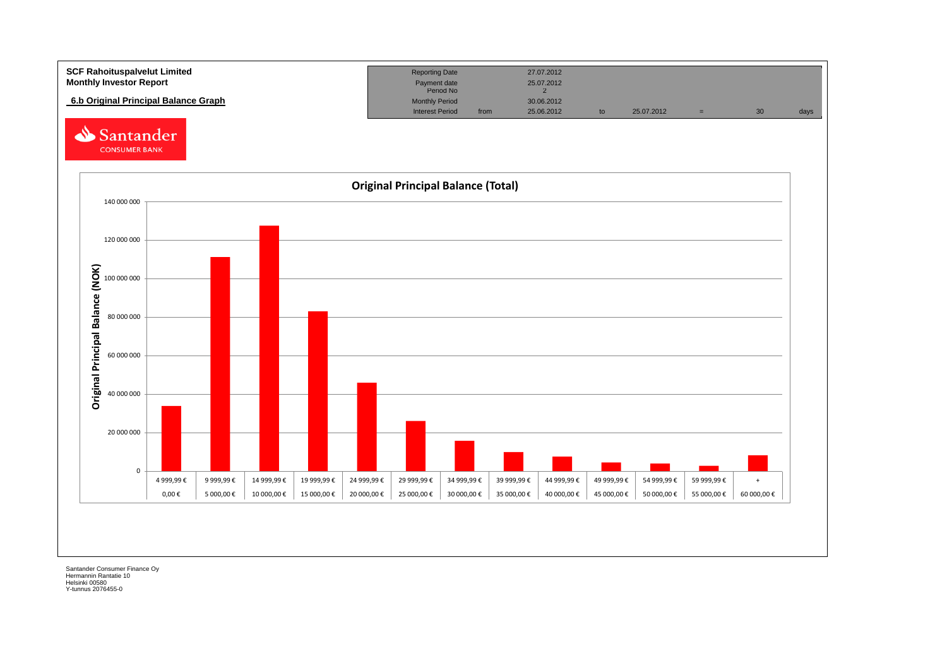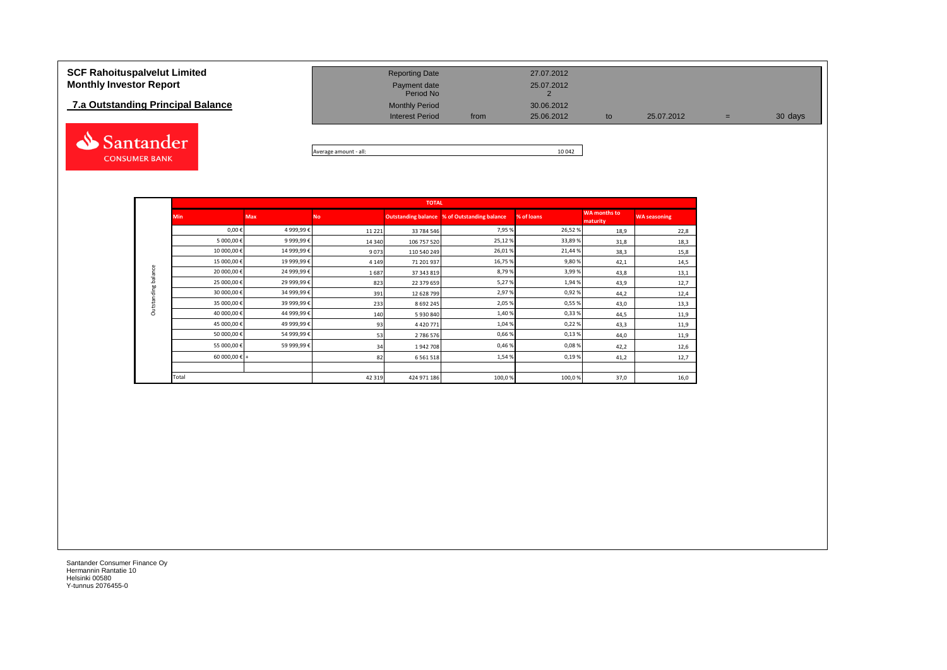## **7.a Outstanding Principal Balance**



| <b>SCF Rahoituspalvelut Limited</b><br><b>Monthly Investor Report</b> | <b>Reporting Date</b><br>Payment date<br>Period No |      | 27.07.2012<br>25.07.2012 |    |            |     |         |
|-----------------------------------------------------------------------|----------------------------------------------------|------|--------------------------|----|------------|-----|---------|
| 7.a Outstanding Principal Balance                                     | <b>Monthly Period</b><br><b>Interest Period</b>    | from | 30.06.2012<br>25.06.2012 | to | 25.07.2012 | $=$ | 30 days |
|                                                                       |                                                    |      |                          |    |            |     |         |

Average amount - all: 10 042

|                     |               |            |          | <b>TOTAL</b>               |                          |            |                                 |                     |
|---------------------|---------------|------------|----------|----------------------------|--------------------------|------------|---------------------------------|---------------------|
|                     | <b>Min</b>    | <b>Max</b> | No       | <b>Outstanding balance</b> | % of Outstanding balance | % of loans | <b>WA</b> months to<br>maturity | <b>WA seasoning</b> |
|                     | 0,00€         | 4 999,99€  | 11 2 2 1 | 33 784 546                 | 7,95%                    | 26,52%     | 18,9                            | 22,8                |
|                     | 5 000,00 €    | 9 999,99€  | 14 340   | 106 757 520                | 25,12%                   | 33,89%     | 31,8                            | 18,3                |
|                     | 10 000,00€    | 14 999,99€ | 9073     | 110 540 249                | 26,01%                   | 21,44 %    | 38,3                            | 15,8                |
|                     | 15 000,00€    | 19 999,99€ | 4 1 4 9  | 71 201 937                 | 16,75%                   | 9,80%      | 42,1                            | 14,5                |
| Outstanding balance | 20 000,00 €   | 24 999,99€ | 1687     | 37 343 819                 | 8,79%                    | 3,99%      | 43,8                            | 13,1                |
|                     | 25 000,00 €   | 29 999,99€ | 823      | 22 379 659                 | 5,27%                    | 1,94%      | 43,9                            | 12,7                |
|                     | 30 000,00 €   | 34 999,99€ | 391      | 12 628 799                 | 2,97%                    | 0,92%      | 44,2                            | 12,4                |
|                     | 35 000,00€    | 39 999,99€ | 233      | 8 6 9 2 2 4 5              | 2,05%                    | 0,55%      | 43,0                            | 13,3                |
|                     | 40 000,00 €   | 44 999,99€ | 140      | 5930840                    | 1,40%                    | 0,33%      | 44,5                            | 11,9                |
|                     | 45 000,00€    | 49 999,99€ | 93       | 4 4 20 7 7 1               | 1,04%                    | 0,22%      | 43,3                            | 11,9                |
|                     | 50 000,00 €   | 54 999,99€ | 53       | 2 786 576                  | 0,66%                    | 0,13%      | 44,0                            | 11,9                |
|                     | 55 000,00€    | 59 999,99€ | 34       | 1942708                    | 0,46%                    | 0,08%      | 42,2                            | 12,6                |
|                     | 60 000,00 € + |            | 82       | 6 5 6 1 5 1 8              | 1,54%                    | 0,19%      | 41,2                            | 12,7                |
|                     |               |            |          |                            |                          |            |                                 |                     |
|                     | Total         |            | 42 3 19  | 424 971 186                | 100,0%                   | 100,0%     | 37,0                            | 16,0                |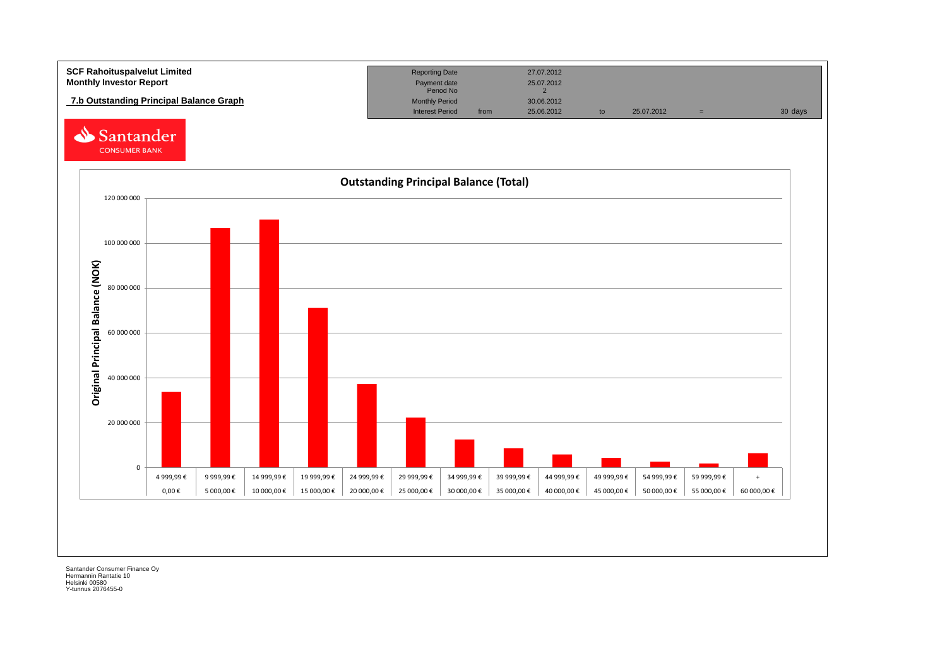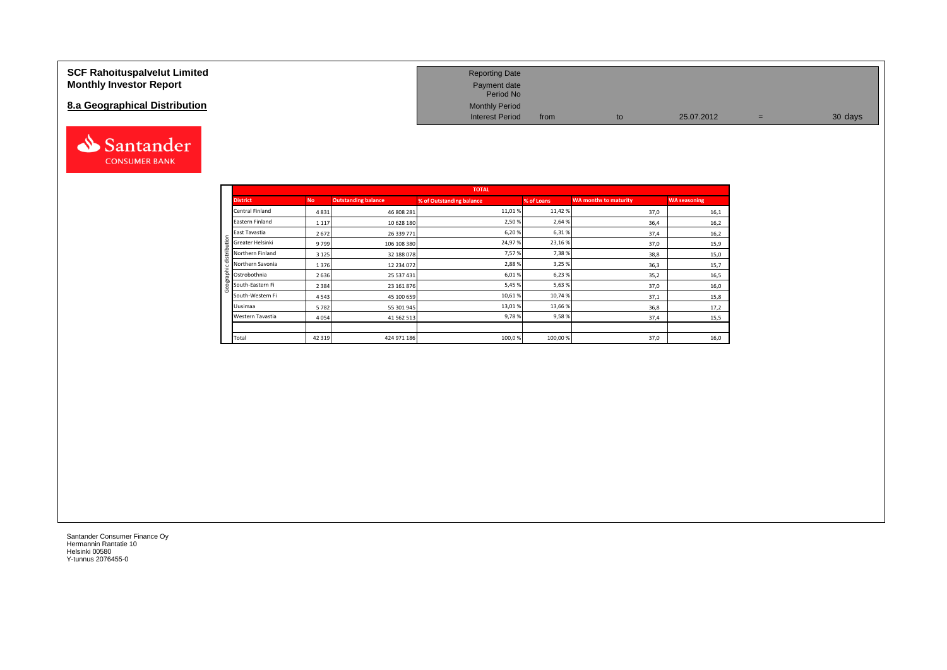| <b>SCF Rahoituspalvelut Limited</b><br><b>Monthly Investor Report</b> | <b>Reporting Date</b><br>Payment date<br>Period No |      |    |            |     |         |
|-----------------------------------------------------------------------|----------------------------------------------------|------|----|------------|-----|---------|
| 8.a Geographical Distribution                                         | <b>Monthly Period</b><br><b>Interest Period</b>    | from | to | 25.07.2012 | $=$ | 30 days |



|                            |         |                            | <b>TOTAL</b>             |            |                              |                     |
|----------------------------|---------|----------------------------|--------------------------|------------|------------------------------|---------------------|
| <b>District</b>            | No.     | <b>Outstanding balance</b> | % of Outstanding balance | % of Loans | <b>WA months to maturity</b> | <b>WA seasoning</b> |
| Central Finland            | 4831    | 46 808 281                 | 11,01%                   | 11,42%     | 37,0                         | 16,1                |
| Eastern Finland            | 1 1 1 7 | 10 628 180                 | 2,50%                    | 2,64 %     | 36,4                         | 16,2                |
| East Tavastia              | 2672    | 26 339 771                 | 6,20%                    | 6,31%      | 37,4                         | 16,2                |
| Greater Helsinki           | 9799    | 106 108 380                | 24,97%                   | 23,16%     | 37,0                         | 15,9                |
| Northern Finland           | 3 1 2 5 | 32 188 078                 | 7,57%                    | 7,38%      | 38,8                         | 15,0                |
| Northern Savonia           | 1376    | 12 234 072                 | 2,88%                    | 3,25 %     | 36,3                         | 15,7                |
| $\frac{1}{2}$ Ostrobothnia | 2636    | 25 537 431                 | 6,01%                    | 6,23%      | 35,2                         | 16,5                |
| South-Eastern Fi           | 2 3 8 4 | 23 161 876                 | 5,45 %                   | 5,63%      | 37,0                         | 16,0                |
| South-Western Fi           | 4543    | 45 100 659                 | 10,61%                   | 10,74%     | 37,1                         | 15,8                |
| Uusimaa                    | 5782    | 55 301 945                 | 13,01%                   | 13,66%     | 36,8                         | 17,2                |
| Western Tavastia           | 4 0 5 4 | 41 562 513                 | 9,78%                    | 9,58%      | 37,4                         | 15,5                |
|                            |         |                            |                          |            |                              |                     |
| Total                      | 42 3 19 | 424 971 186                | 100,0%                   | 100,00%    | 37,0                         | 16,0                |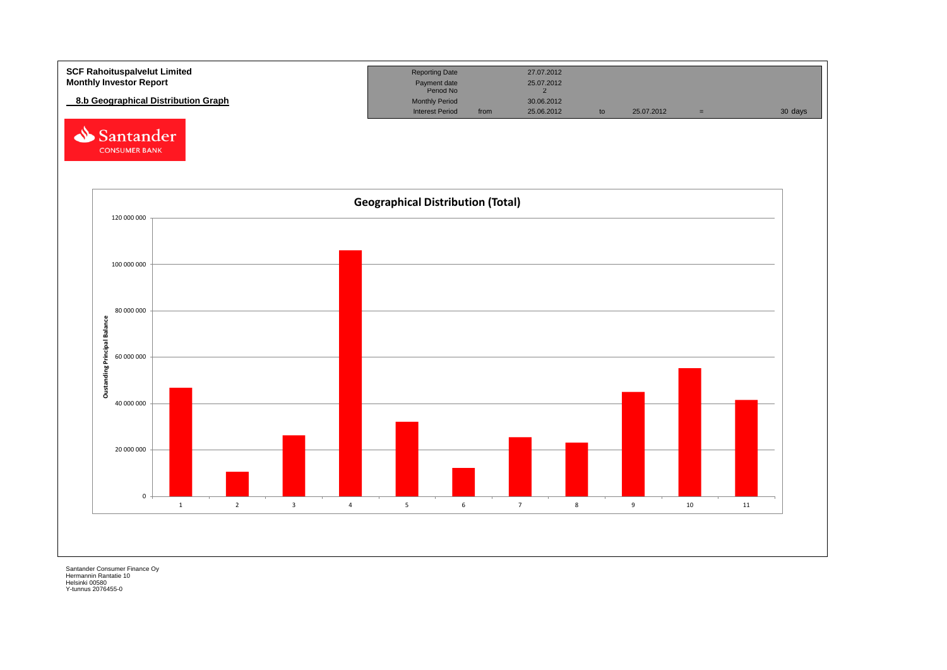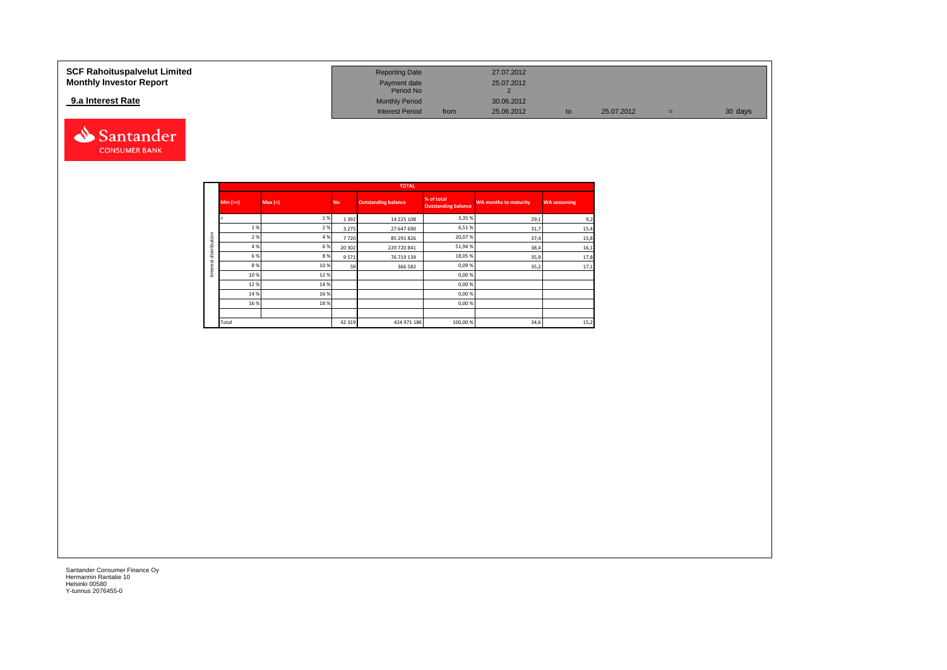### **9.a Interest Rate**



| <b>SCF Rahoituspalvelut Limited</b> | <b>Reporting Date</b>     |      | 27.07.2012 |    |            |     |         |
|-------------------------------------|---------------------------|------|------------|----|------------|-----|---------|
| <b>Monthly Investor Report</b>      | Payment date<br>Period No |      | 25.07.2012 |    |            |     |         |
| 9.a Interest Rate                   | <b>Monthly Period</b>     |      | 30.06.2012 |    |            |     |         |
|                                     | <b>Interest Period</b>    | from | 25.06.2012 | to | 25.07.2012 | $=$ | 30 days |

|              |             |        |           | <b>TOTAL</b>               |                                          |                              |                     |
|--------------|-------------|--------|-----------|----------------------------|------------------------------------------|------------------------------|---------------------|
|              | $Min (=)=)$ | Max(<) | <b>No</b> | <b>Outstanding balance</b> | % of total<br><b>Outstanding balance</b> | <b>WA months to maturity</b> | <b>WA seasoning</b> |
|              |             | 1%     | 1 3 9 2   | 14 225 108                 | 3,35 %                                   | 29,1                         | 9,2                 |
|              | 1 %         | 2 %    | 3 2 7 5   | 27 647 690                 | 6,51%                                    | 31,7                         | 15,4                |
| distribution | 2%          | 4 %    | 7720      | 85 291 826                 | 20,07%                                   | 37,4                         | 15,8                |
|              | 4 %         | 6%     | 20 30 2   | 220 720 841                | 51,94%                                   | 38,4                         | 16,1                |
| tr           | 6 %         | 8%     | 9571      | 76 719 139                 | 18,05 %                                  | 35,9                         | 17,8                |
|              | 8%          | 10 %   | 59        | 366 582                    | 0,09%                                    | 35,2                         | 17,1                |
| Inter        | 10%         | 12%    |           |                            | 0,00%                                    |                              |                     |
|              | 12%         | 14 %   |           |                            | 0,00%                                    |                              |                     |
|              | 14 %        | 16 %   |           |                            | 0,00%                                    |                              |                     |
|              | 16 %        | 18%    |           |                            | 0,00 %                                   |                              |                     |
|              |             |        |           |                            |                                          |                              |                     |
|              | Total       |        | 42 3 19   | 424 971 186                | 100,00 %                                 | 34,6                         | 15,2                |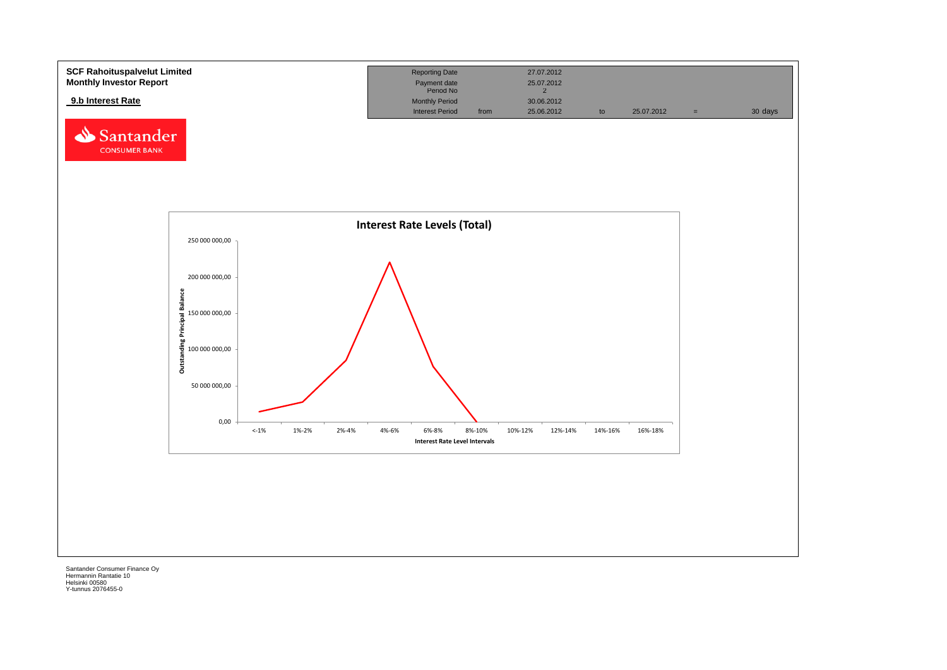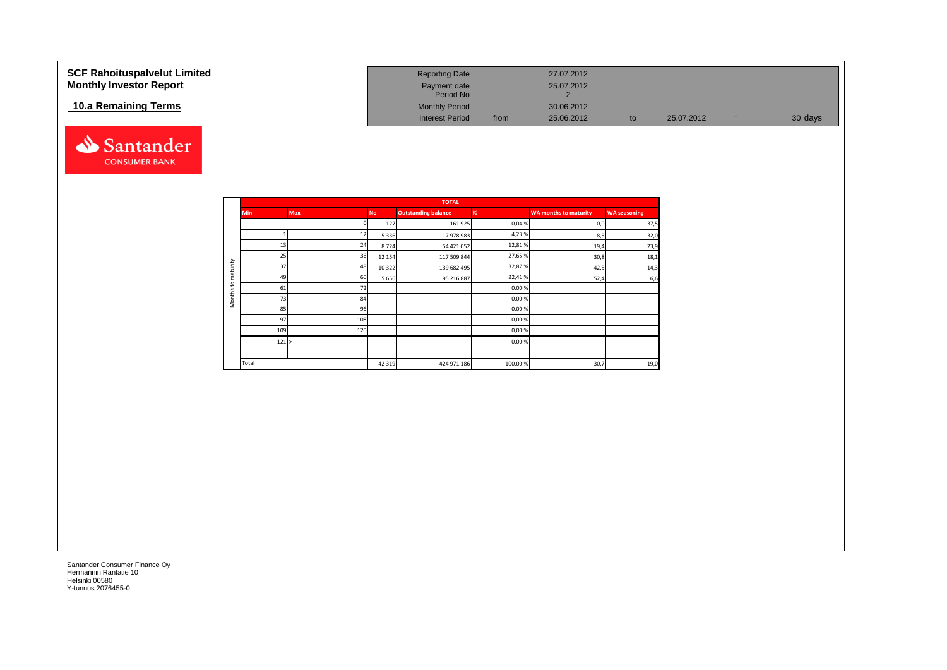| <b>SCF Rahoituspalvelut Limited</b><br><b>Monthly Investor Report</b> | <b>Reporting Date</b><br>Payment date<br>Period No |      | 27.07.2012<br>25.07.2012 |    |            |     |         |
|-----------------------------------------------------------------------|----------------------------------------------------|------|--------------------------|----|------------|-----|---------|
| 10.a Remaining Terms                                                  | <b>Monthly Period</b><br><b>Interest Period</b>    | from | 30.06.2012<br>25.06.2012 | to | 25.07.2012 | $=$ | 30 days |



|                     |            |            |           | <b>TOTAL</b>               |         |                              |                     |
|---------------------|------------|------------|-----------|----------------------------|---------|------------------------------|---------------------|
|                     | <b>Min</b> | <b>Max</b> | <b>No</b> | <b>Outstanding balance</b> | %       | <b>WA months to maturity</b> | <b>WA seasoning</b> |
|                     |            |            | 127       | 161 925                    | 0,04%   | 0,0                          | 37,5                |
|                     |            | 12         | 5 3 3 6   | 17 978 983                 | 4,23%   | 8,5                          | 32,0                |
|                     | 13         | 24         | 8724      | 54 421 052                 | 12,81%  | 19,4                         | 23,9                |
|                     | 25         | 36         | 12 15 4   | 117 509 844                | 27,65%  | 30,8                         | 18,1                |
| maturity            | 37         | 48         | 10 3 22   | 139 682 495                | 32,87%  | 42,5                         | 14,3                |
|                     | 49         | 60         | 5 6 5 6   | 95 216 887                 | 22,41%  | 52,4                         | 6,6                 |
| S                   | 61         | 72         |           |                            | 0,00%   |                              |                     |
| Months <sup>-</sup> | 73         | 84         |           |                            | 0,00%   |                              |                     |
|                     | 85         | 96         |           |                            | 0,00%   |                              |                     |
|                     | 97         | 108        |           |                            | 0,00%   |                              |                     |
|                     | 109        | 120        |           |                            | 0,00%   |                              |                     |
|                     | 121 >      |            |           |                            | 0,00%   |                              |                     |
|                     |            |            |           |                            |         |                              |                     |
|                     | Total      |            | 42 319    | 424 971 186                | 100,00% | 30,7                         | 19,0                |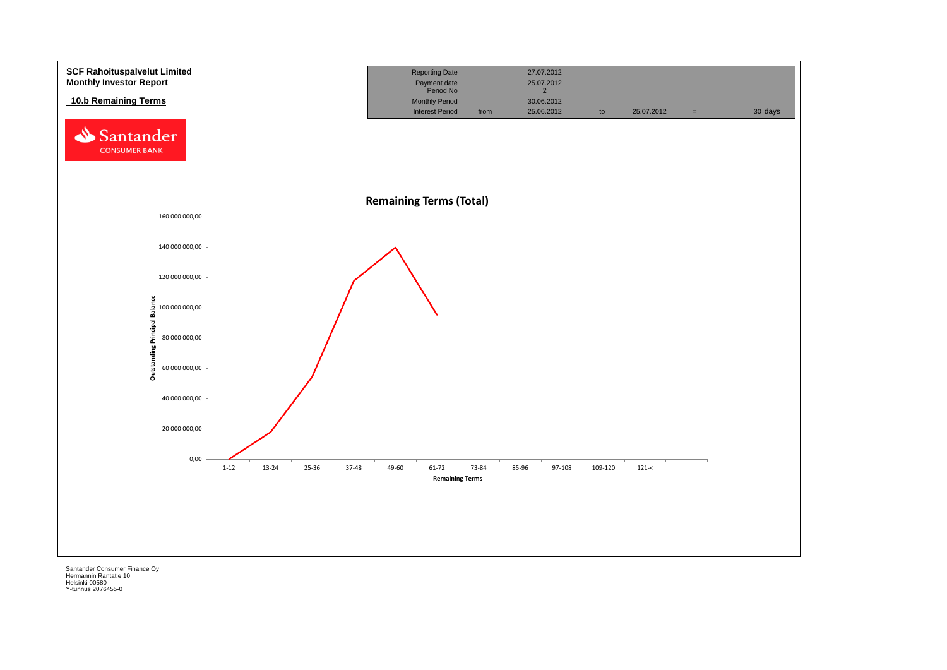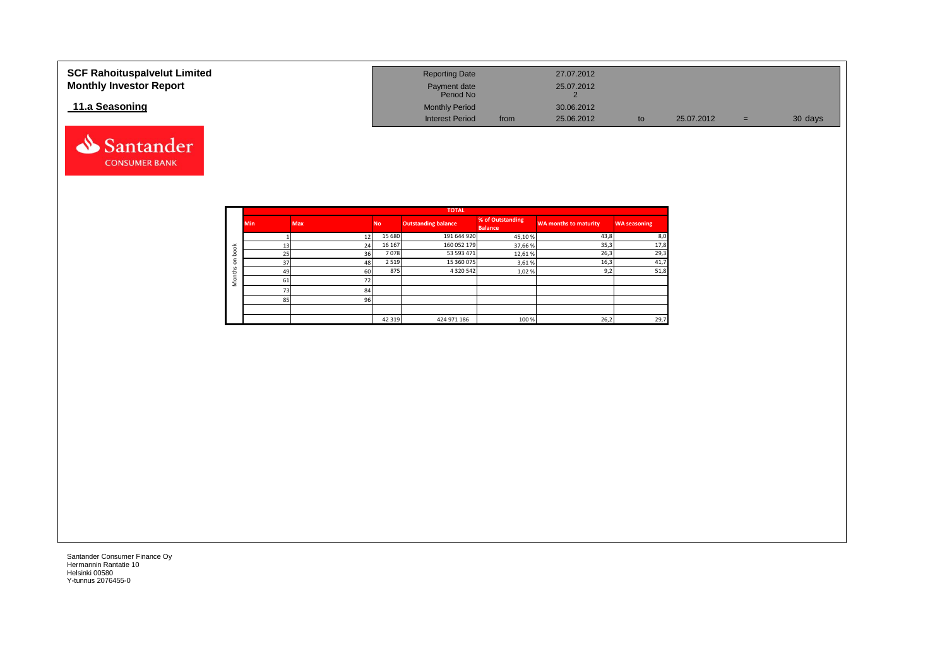| <b>SCF Rahoituspalvelut Limited</b><br><b>Monthly Investor Report</b> | <b>Reporting Date</b><br>Payment date<br>Period No |      | 27.07.2012<br>25.07.2012 |    |            |     |         |
|-----------------------------------------------------------------------|----------------------------------------------------|------|--------------------------|----|------------|-----|---------|
| 11.a Seasoning                                                        | <b>Monthly Period</b><br><b>Interest Period</b>    | from | 30.06.2012<br>25.06.2012 | to | 25.07.2012 | $=$ | 30 days |

|                   |            |     |           | <b>TOTAL</b>               |                                    |                              |                     |
|-------------------|------------|-----|-----------|----------------------------|------------------------------------|------------------------------|---------------------|
|                   | <b>Min</b> | Max | <b>No</b> | <b>Outstanding balance</b> | % of Outstanding<br><b>Balance</b> | <b>WA months to maturity</b> | <b>WA seasoning</b> |
|                   |            | 12  | 15 680    | 191 644 920                | 45,10%                             | 43,8                         | 8,0                 |
| $\breve{\sigma}$  | 13         | 24  | 16 167    | 160 052 179                | 37,66 %                            | 35,3                         | 17,8                |
| C<br>ء            | 25         | 36  | 7078      | 53 593 471                 | 12,61%                             | 26,3                         | 29,3                |
| ⊂<br>$\circ$      | 37         | 48  | 2 5 1 9   | 15 360 075                 | 3,61%                              | 16,3                         | 41,7                |
| $\mathbf{u}$<br>÷ | 49         | 60  | 875       | 4 3 2 0 5 4 2              | 1,02%                              | 9,2                          | 51,8                |
| $\circ$<br>2      | 61         |     |           |                            |                                    |                              |                     |
|                   | 73         | 84  |           |                            |                                    |                              |                     |
|                   | 85         | 96  |           |                            |                                    |                              |                     |
|                   |            |     |           |                            |                                    |                              |                     |
|                   |            |     | 42 3 19   | 424 971 186                | 100 %                              | 26,2                         | 29,7                |

Santander **CONSUMER BANK**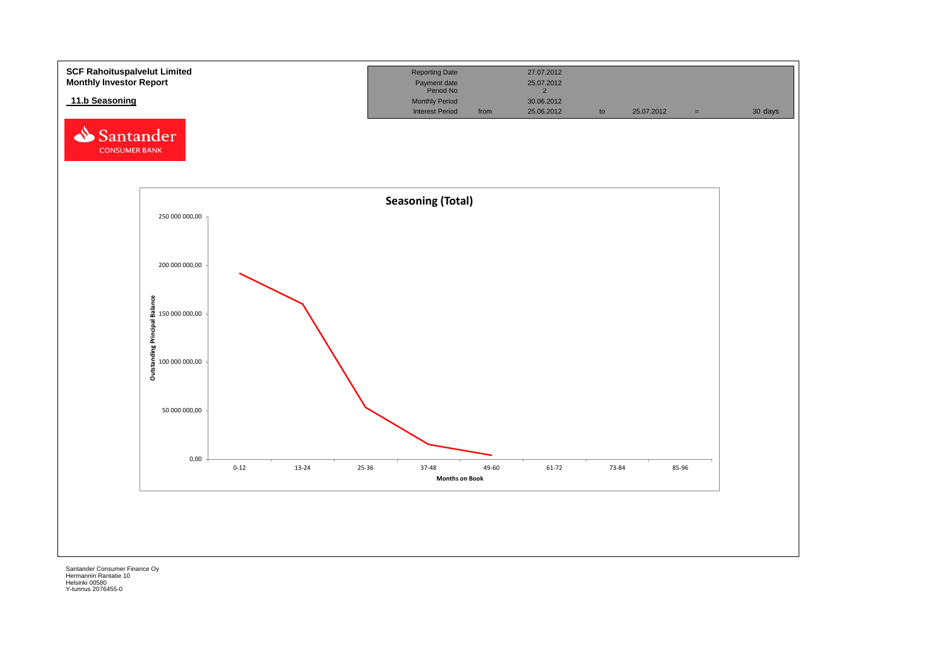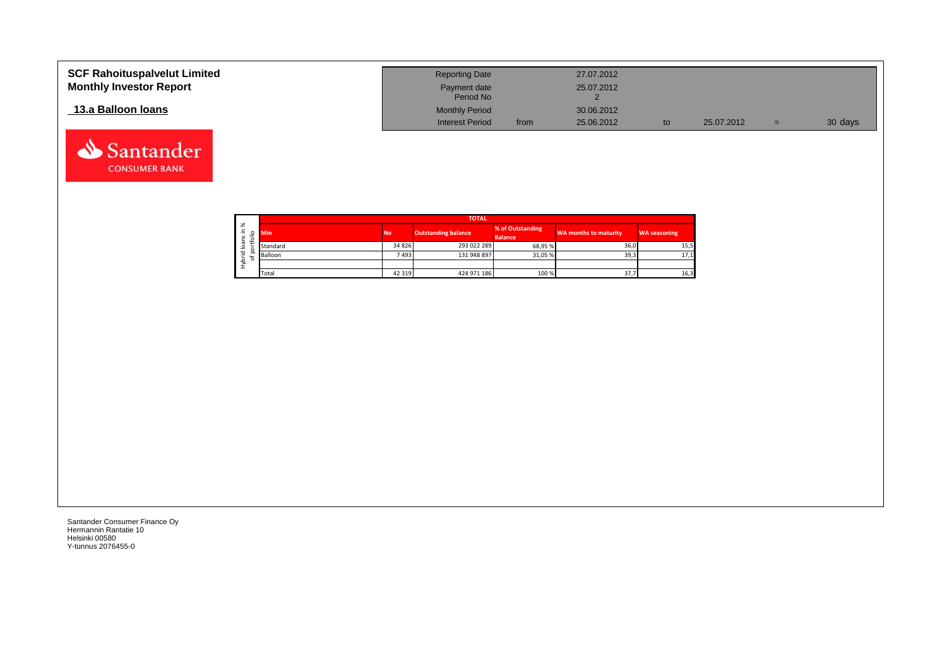| <b>SCF Rahoituspalvelut Limited</b> | <b>Reporting Date</b>     |      | 27.07.2012 |            |     |         |
|-------------------------------------|---------------------------|------|------------|------------|-----|---------|
| <b>Monthly Investor Report</b>      | Payment date<br>Period No |      | 25.07.2012 |            |     |         |
| 13.a Balloon Ioans                  | <b>Monthly Period</b>     |      | 30.06.2012 |            |     |         |
|                                     | <b>Interest Period</b>    | from | 25.06.2012 | 25.07.2012 | $=$ | 30 days |

┑

|                   |             |            |           | <b>TOTAL</b>               |                                    |                       |                     |
|-------------------|-------------|------------|-----------|----------------------------|------------------------------------|-----------------------|---------------------|
| ৯<br>∸.<br>S<br>∽ | ۰           | <b>Min</b> | <b>No</b> | <b>Outstanding balance</b> | % of Outstanding<br><b>Balance</b> | WA months to maturity | <b>WA seasoning</b> |
| ത<br>∘            |             | Standard   | 34 8 26   | 293 022 289                | 68.95%                             | 36,0                  | 15,5                |
| 꼳                 | o<br>⊷<br>۰ | Balloon    | 74931     | 131 948 897                | 31,05 %                            | 39,3                  | 17,1                |
| ء<br>£            |             |            |           |                            |                                    |                       |                     |
|                   |             | Total      | 42 3 19   | 424 971 186                | 100 %                              | 37,7                  | 16,3                |

Santander Consumer Finance Oy Hermannin Rantatie 10 Helsinki 00580 Y-tunnus 2076455-0

Santander **CONSUMER BANK**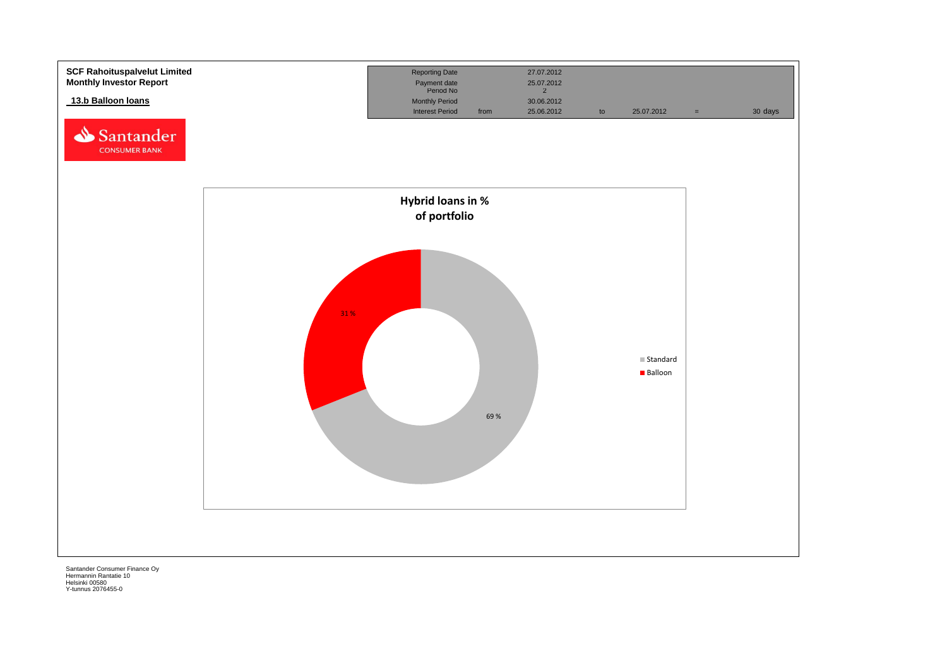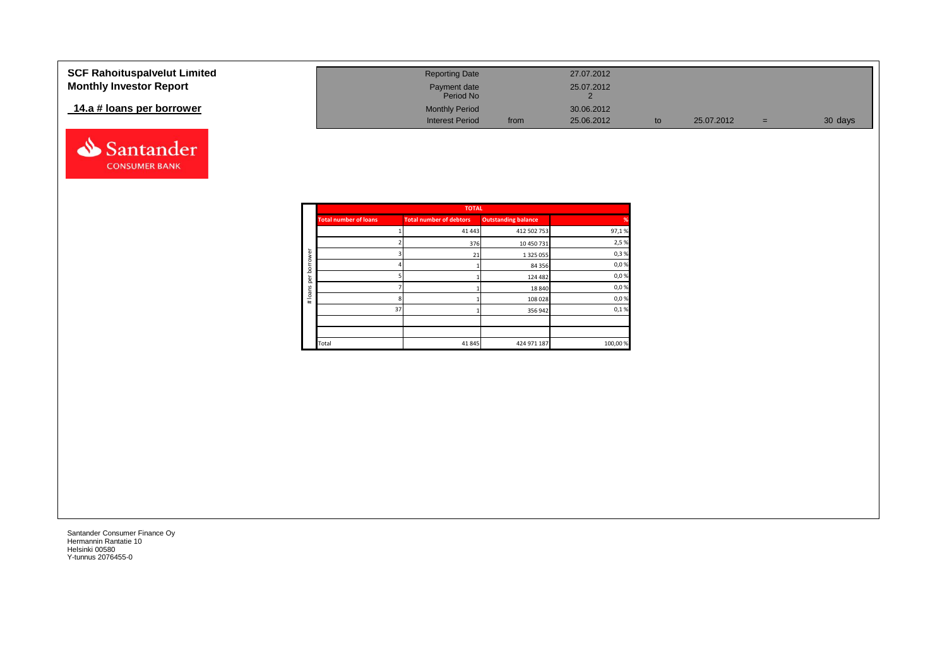| <b>SCF Rahoituspalvelut Limited</b> | <b>Reporting Date</b>     |      | 27.07.2012 |            |     |         |
|-------------------------------------|---------------------------|------|------------|------------|-----|---------|
| <b>Monthly Investor Report</b>      | Payment date<br>Period No |      | 25.07.2012 |            |     |         |
| 14.a # loans per borrower           | <b>Monthly Period</b>     |      | 30.06.2012 |            |     |         |
|                                     | <b>Interest Period</b>    | from | 25.06.2012 | 25.07.2012 | $=$ | 30 days |



|          |                              | <b>TOTAL</b>                   |                            |         |
|----------|------------------------------|--------------------------------|----------------------------|---------|
|          | <b>Total number of loans</b> | <b>Total number of debtors</b> | <b>Outstanding balance</b> | %       |
|          |                              | 41 4 43                        | 412 502 753                | 97,1%   |
|          |                              | 376                            | 10 450 731                 | 2,5 %   |
| ď<br>row |                              | 21                             | 1 3 2 5 0 5 5              | 0,3%    |
| ā        |                              |                                | 84 35 6                    | 0,0%    |
| ē        |                              |                                | 124 482                    | 0,0%    |
| loans    |                              |                                | 18 840                     | 0,0%    |
| $\pm$    | 8                            |                                | 108 028                    | 0,0%    |
|          | 37                           |                                | 356 942                    | 0,1%    |
|          |                              |                                |                            |         |
|          |                              |                                |                            |         |
|          | Total                        | 41845                          | 424 971 187                | 100,00% |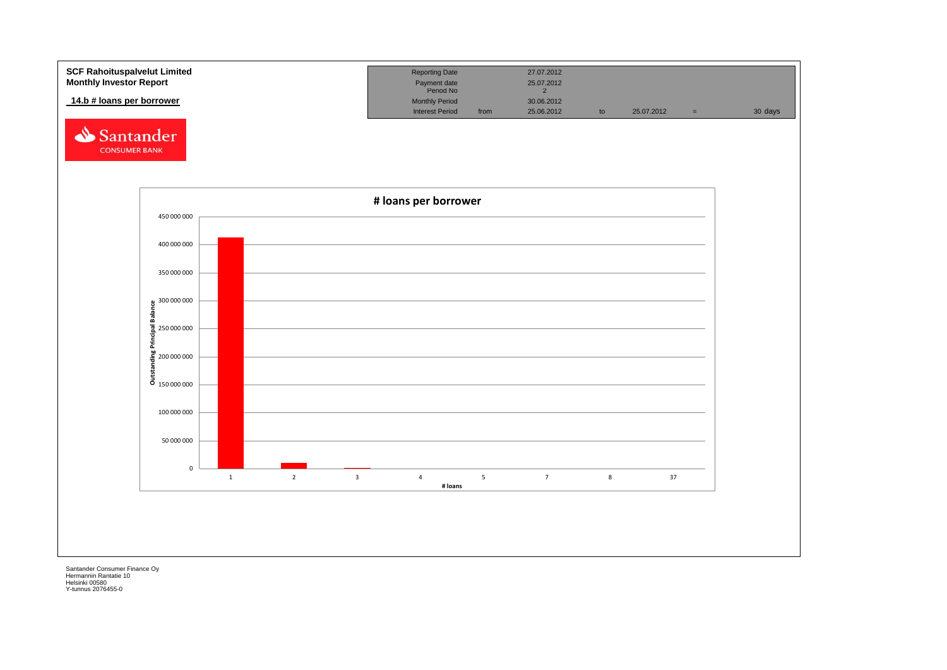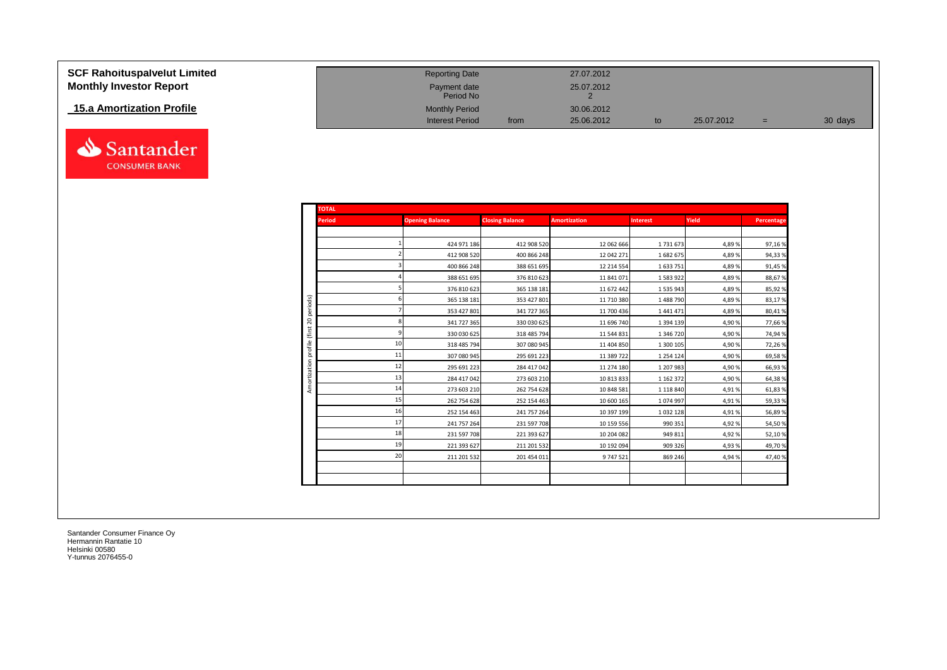| <b>SCF Rahoituspalvelut Limited</b> | <b>Reporting Date</b>     |      | 27.07.2012 |            |     |         |
|-------------------------------------|---------------------------|------|------------|------------|-----|---------|
| <b>Monthly Investor Report</b>      | Payment date<br>Period No |      | 25.07.2012 |            |     |         |
| 15.a Amortization Profile           | <b>Monthly Period</b>     |      | 30.06.2012 |            |     |         |
|                                     | <b>Interest Period</b>    | from | 25.06.2012 | 25.07.2012 | $=$ | 30 days |



| <b>TOTAL</b>   |                        |                        |                     |                 |       |            |
|----------------|------------------------|------------------------|---------------------|-----------------|-------|------------|
| <b>Period</b>  | <b>Opening Balance</b> | <b>Closing Balance</b> | <b>Amortization</b> | <b>Interest</b> | Yield | Percentage |
|                |                        |                        |                     |                 |       |            |
|                | 424 971 186            | 412 908 520            | 12 062 666          | 1731673         | 4,89% | 97,16%     |
|                | 412 908 520            | 400 866 248            | 12 042 271          | 1682675         | 4,89% | 94,33%     |
|                | 400 866 248            | 388 651 695            | 12 214 554          | 1633751         | 4,89% | 91,45%     |
|                | 388 651 695            | 376 810 623            | 11 841 071          | 1583922         | 4,89% | 88,67%     |
|                | 376 810 623            | 365 138 181            | 11 672 442          | 1535943         | 4,89% | 85,92%     |
| periods)       | 365 138 181            | 353 427 801            | 11 710 380          | 1488790         | 4,89% | 83,17%     |
|                | 353 427 801            | 341 727 365            | 11 700 436          | 1441471         | 4,89% | 80,41%     |
| $\mathbb{S}^2$ | 341 727 365            | 330 030 625            | 11 696 740          | 1 3 9 4 1 3 9   | 4,90% | 77,66%     |
| (first         | 330 030 625            | 318 485 794            | 11 544 831          | 1 346 720       | 4,90% | 74,94%     |
| profile        | 10<br>318 485 794      | 307 080 945            | 11 404 850          | 1 300 105       | 4,90% | 72,26%     |
|                | 11<br>307 080 945      | 295 691 223            | 11 389 722          | 1 2 5 4 1 2 4   | 4,90% | 69,58%     |
|                | 12<br>295 691 223      | 284 417 042            | 11 274 180          | 1 207 983       | 4,90% | 66,93%     |
| Amortization   | 13<br>284 417 042      | 273 603 210            | 10 813 833          | 1 1 6 2 3 7 2   | 4,90% | 64,38%     |
|                | 14<br>273 603 210      | 262 754 628            | 10 848 581          | 1 1 1 8 8 4 0   | 4,91% | 61,83%     |
|                | 15<br>262 754 628      | 252 154 463            | 10 600 165          | 1074997         | 4,91% | 59,33%     |
|                | 16<br>252 154 463      | 241 757 264            | 10 397 199          | 1032128         | 4,91% | 56,89%     |
|                | 17<br>241 757 264      | 231 597 708            | 10 159 556          | 990 351         | 4,92% | 54,50%     |
|                | 18<br>231 597 708      | 221 393 627            | 10 204 082          | 949 811         | 4,92% | 52,10%     |
|                | 19<br>221 393 627      | 211 201 532            | 10 192 094          | 909 326         | 4,93% | 49,70%     |
|                | 20<br>211 201 532      | 201 454 011            | 9747521             | 869 246         | 4,94% | 47,40%     |
|                |                        |                        |                     |                 |       |            |
|                |                        |                        |                     |                 |       |            |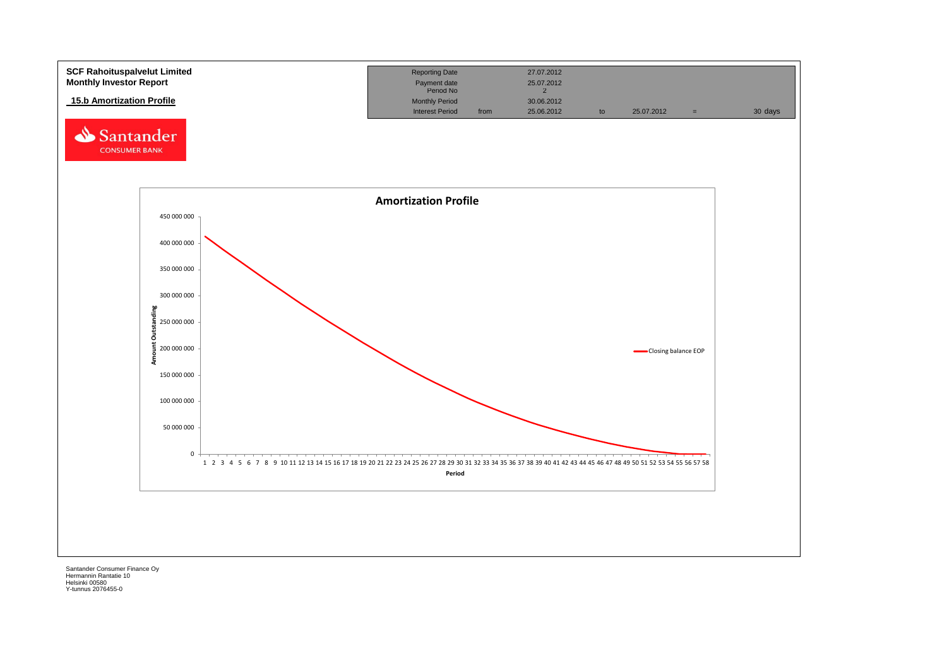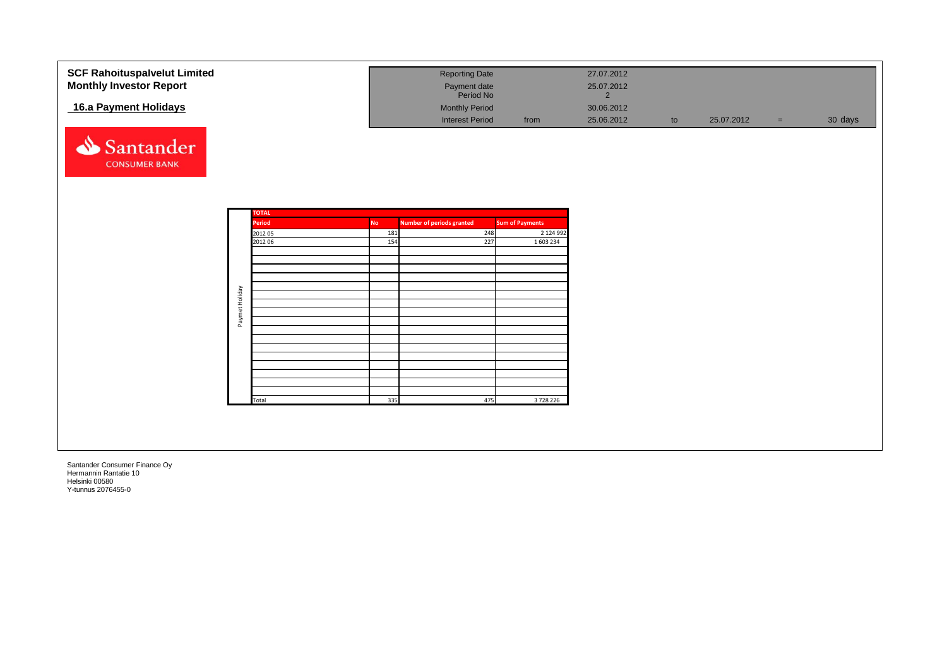| <b>SCF Rahoituspalvelut Limited</b> |                |                   |                  | <b>Reporting Date</b>                   |                                     | 27.07.2012                   |    |            |     |         |
|-------------------------------------|----------------|-------------------|------------------|-----------------------------------------|-------------------------------------|------------------------------|----|------------|-----|---------|
| <b>Monthly Investor Report</b>      |                |                   |                  | Payment date<br>Period No               |                                     | 25.07.2012<br>$\overline{2}$ |    |            |     |         |
| 16.a Payment Holidays               |                |                   |                  | <b>Monthly Period</b>                   |                                     | 30.06.2012                   |    |            |     |         |
|                                     |                |                   |                  | <b>Interest Period</b>                  | from                                | 25.06.2012                   | to | 25.07.2012 | $=$ | 30 days |
| Santander<br><b>CONSUMER BANK</b>   |                |                   |                  |                                         |                                     |                              |    |            |     |         |
|                                     |                |                   |                  |                                         |                                     |                              |    |            |     |         |
|                                     |                | <b>TOTAL</b>      |                  |                                         |                                     |                              |    |            |     |         |
|                                     |                | Period<br>2012 05 | <b>No</b><br>181 | <b>Number of periods granted</b><br>248 | <b>Sum of Payments</b><br>2 124 992 |                              |    |            |     |         |
|                                     |                | 2012 06           | 154              | 227                                     | 1 603 234                           |                              |    |            |     |         |
|                                     |                |                   |                  |                                         |                                     |                              |    |            |     |         |
|                                     |                |                   |                  |                                         |                                     |                              |    |            |     |         |
|                                     |                |                   |                  |                                         |                                     |                              |    |            |     |         |
|                                     |                |                   |                  |                                         |                                     |                              |    |            |     |         |
|                                     | Paymet Holiday |                   |                  |                                         |                                     |                              |    |            |     |         |
|                                     |                |                   |                  |                                         |                                     |                              |    |            |     |         |
|                                     |                |                   |                  |                                         |                                     |                              |    |            |     |         |
|                                     |                |                   |                  |                                         |                                     |                              |    |            |     |         |
|                                     |                |                   |                  |                                         |                                     |                              |    |            |     |         |
|                                     |                |                   |                  |                                         |                                     |                              |    |            |     |         |
|                                     |                |                   |                  |                                         |                                     |                              |    |            |     |         |
|                                     |                |                   |                  |                                         |                                     |                              |    |            |     |         |
|                                     |                | Total             | 335              | 475                                     | 3728226                             |                              |    |            |     |         |
|                                     |                |                   |                  |                                         |                                     |                              |    |            |     |         |
|                                     |                |                   |                  |                                         |                                     |                              |    |            |     |         |
|                                     |                |                   |                  |                                         |                                     |                              |    |            |     |         |
|                                     |                |                   |                  |                                         |                                     |                              |    |            |     |         |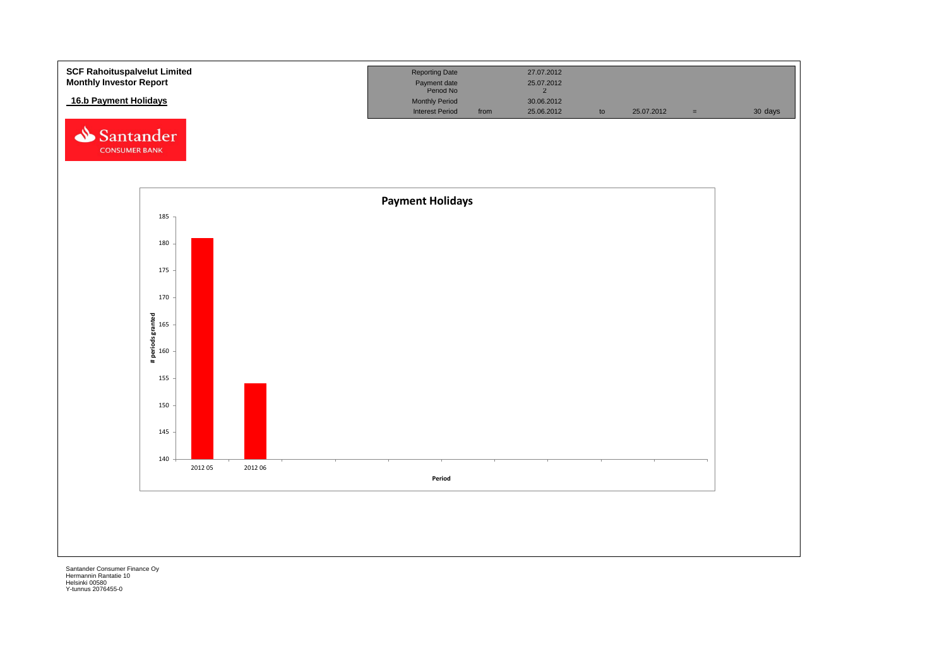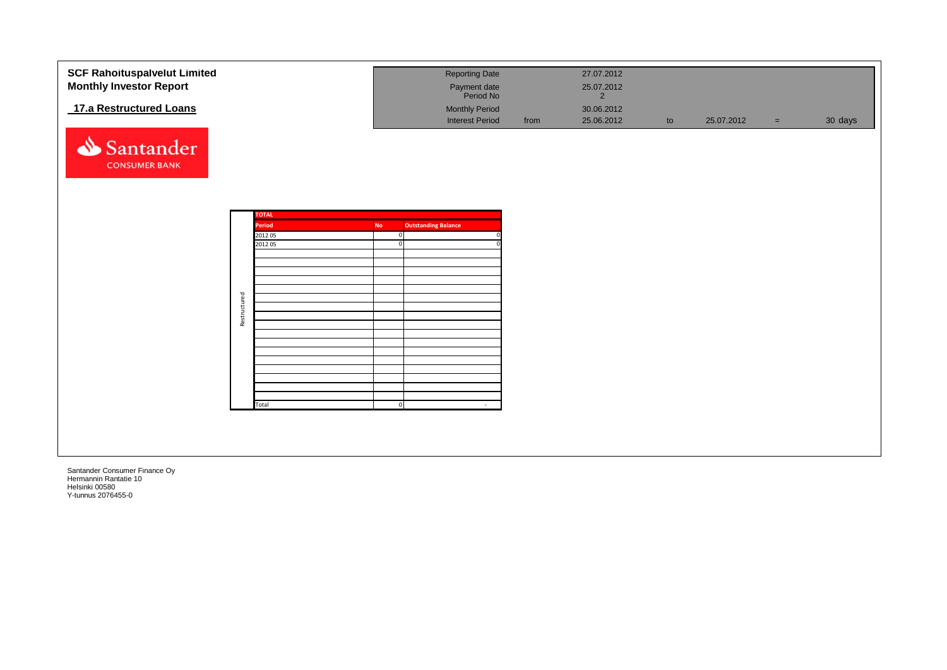| <b>SCF Rahoituspalvelut Limited</b><br><b>Monthly Investor Report</b><br>17.a Restructured Loans |              |                        |                          | <b>Reporting Date</b><br>Payment date<br>Period No<br><b>Monthly Period</b> |      | 27.07.2012<br>25.07.2012<br>$2^{\circ}$<br>30.06.2012 |    |            |     |         |
|--------------------------------------------------------------------------------------------------|--------------|------------------------|--------------------------|-----------------------------------------------------------------------------|------|-------------------------------------------------------|----|------------|-----|---------|
| Santander<br><b>CONSUMER BANK</b>                                                                |              |                        |                          | <b>Interest Period</b>                                                      | from | 25.06.2012                                            | to | 25.07.2012 | $=$ | 30 days |
|                                                                                                  |              | <b>TOTAL</b><br>Period | <b>No</b>                | <b>Outstanding Balance</b>                                                  |      |                                                       |    |            |     |         |
|                                                                                                  |              | 2012 05<br>2012 05     | $\Omega$<br>$\mathbf{0}$ |                                                                             |      |                                                       |    |            |     |         |
|                                                                                                  | Restructured |                        |                          |                                                                             |      |                                                       |    |            |     |         |
|                                                                                                  |              |                        |                          |                                                                             |      |                                                       |    |            |     |         |
|                                                                                                  |              | Total                  | $\Omega$                 | $\sim$                                                                      |      |                                                       |    |            |     |         |
|                                                                                                  |              |                        |                          |                                                                             |      |                                                       |    |            |     |         |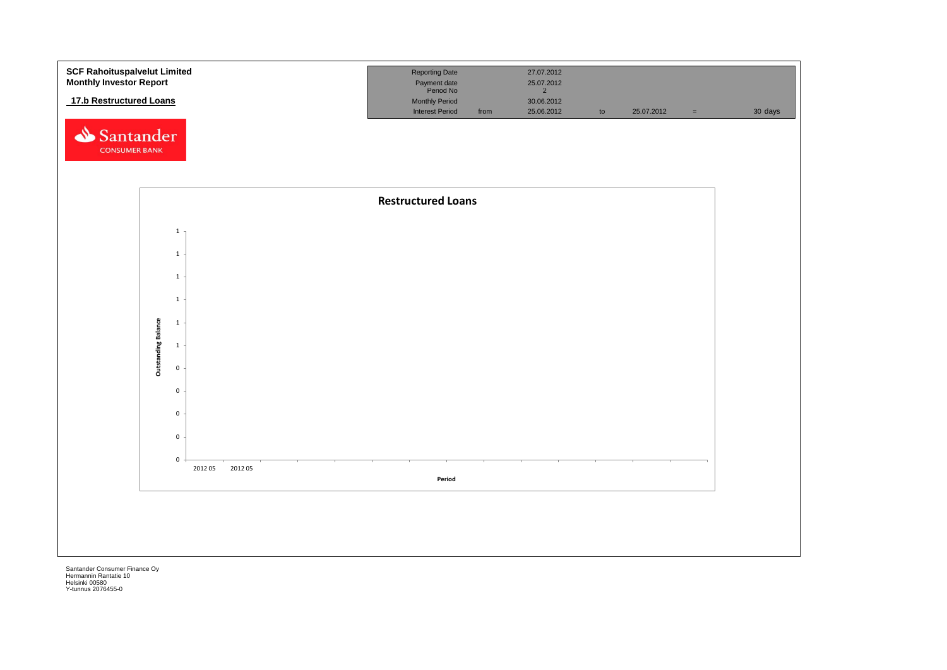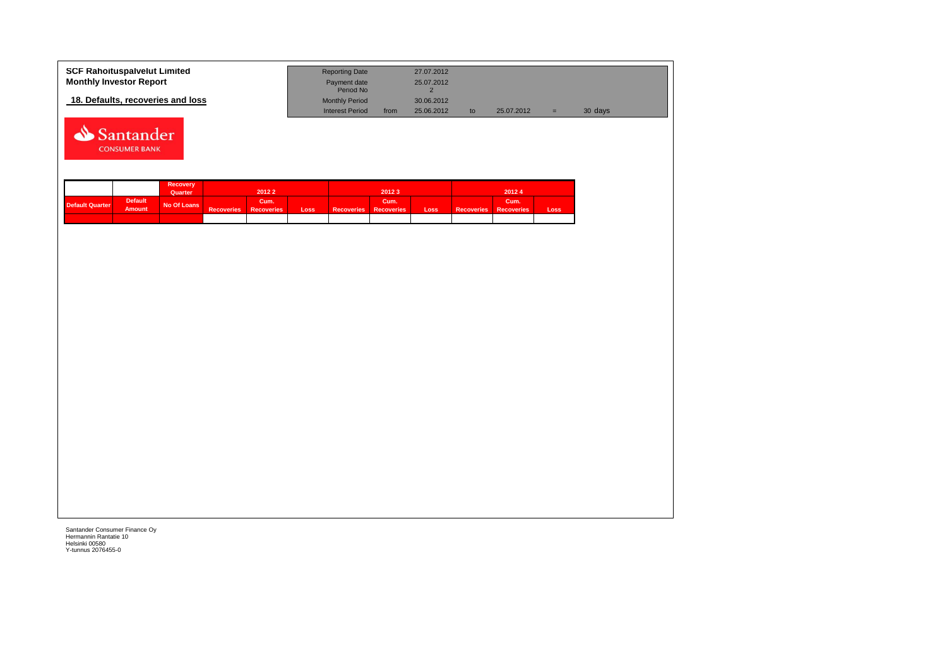| <b>SCF Rahoituspalvelut Limited</b> | <b>Reporting Date</b>     |      | 27.07.2012 |    |            |     |         |
|-------------------------------------|---------------------------|------|------------|----|------------|-----|---------|
| <b>Monthly Investor Report</b>      | Payment date<br>Period No |      | 25.07.2012 |    |            |     |         |
| 18. Defaults, recoveries and loss   | <b>Monthly Period</b>     |      | 30.06.2012 |    |            |     |         |
|                                     | <b>Interest Period</b>    | from | 25,06,2012 | to | 25.07.2012 | u s | 30 days |



|                        |                                 | Recovery<br>Quarter |                   | 20122                     |      |                   | 20123               |      |                       | 20124 |       |
|------------------------|---------------------------------|---------------------|-------------------|---------------------------|------|-------------------|---------------------|------|-----------------------|-------|-------|
| <b>Default Quarter</b> | <b>Default</b><br><b>Amount</b> | No Of Loans         | <b>Recoveries</b> | Cum.<br><b>Recoveries</b> | Loss | <b>Recoveries</b> | Cum.'<br>Recoveries | Loss | Recoveries Recoveries | Cum.  | Loss. |
|                        |                                 |                     |                   |                           |      |                   |                     |      |                       |       |       |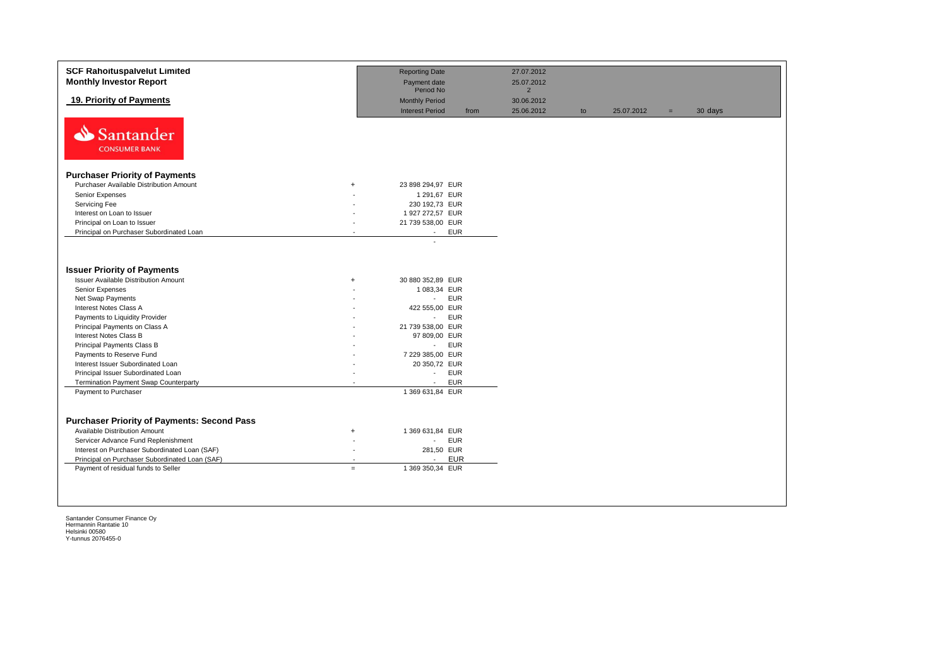| <b>SCF Rahoituspalvelut Limited</b><br><b>Monthly Investor Report</b>             |                          | <b>Reporting Date</b><br>Payment date           |      | 27.07.2012<br>25.07.2012 |    |            |     |         |
|-----------------------------------------------------------------------------------|--------------------------|-------------------------------------------------|------|--------------------------|----|------------|-----|---------|
|                                                                                   |                          | Period No                                       |      | $\overline{2}$           |    |            |     |         |
| 19. Priority of Payments                                                          |                          | <b>Monthly Period</b><br><b>Interest Period</b> | from | 30.06.2012<br>25.06.2012 | to | 25.07.2012 | $=$ | 30 days |
| Santander<br><b>CONSUMER BANK</b>                                                 |                          |                                                 |      |                          |    |            |     |         |
| <b>Purchaser Priority of Payments</b>                                             |                          |                                                 |      |                          |    |            |     |         |
| Purchaser Available Distribution Amount                                           | $^{+}$                   | 23 898 294,97 EUR                               |      |                          |    |            |     |         |
| Senior Expenses                                                                   |                          | 1 291,67 EUR                                    |      |                          |    |            |     |         |
| Servicing Fee                                                                     |                          | 230 192,73 EUR                                  |      |                          |    |            |     |         |
| Interest on Loan to Issuer                                                        | $\overline{\phantom{a}}$ | 1 927 272,57 EUR                                |      |                          |    |            |     |         |
| Principal on Loan to Issuer                                                       | ÷                        | 21 739 538,00 EUR                               |      |                          |    |            |     |         |
| Principal on Purchaser Subordinated Loan                                          |                          | <b>EUR</b><br>$\sim$                            |      |                          |    |            |     |         |
| <b>Issuer Priority of Payments</b><br><b>Issuer Available Distribution Amount</b> | $\ddot{}$                | 30 880 352,89 EUR                               |      |                          |    |            |     |         |
| Senior Expenses                                                                   |                          | 1 083,34 EUR                                    |      |                          |    |            |     |         |
| Net Swap Payments                                                                 |                          | <b>EUR</b><br>$\sim$                            |      |                          |    |            |     |         |
| Interest Notes Class A                                                            |                          | 422 555,00 EUR                                  |      |                          |    |            |     |         |
| Payments to Liquidity Provider                                                    |                          | <b>EUR</b><br>$\sim$                            |      |                          |    |            |     |         |
| Principal Payments on Class A                                                     |                          | 21 739 538,00 EUR                               |      |                          |    |            |     |         |
| Interest Notes Class B                                                            |                          | 97 809,00 EUR                                   |      |                          |    |            |     |         |
| Principal Payments Class B                                                        |                          | <b>EUR</b><br>$\sim$                            |      |                          |    |            |     |         |
| Payments to Reserve Fund                                                          |                          | 7 229 385,00 EUR                                |      |                          |    |            |     |         |
| Interest Issuer Subordinated Loan                                                 |                          | 20 350,72 EUR                                   |      |                          |    |            |     |         |
| Principal Issuer Subordinated Loan                                                | $\overline{\phantom{a}}$ | <b>EUR</b><br>$\sim$                            |      |                          |    |            |     |         |
| <b>Termination Payment Swap Counterparty</b>                                      |                          | <b>EUR</b>                                      |      |                          |    |            |     |         |
| Payment to Purchaser                                                              |                          | 1 369 631,84 EUR                                |      |                          |    |            |     |         |
|                                                                                   |                          |                                                 |      |                          |    |            |     |         |
| <b>Purchaser Priority of Payments: Second Pass</b>                                |                          |                                                 |      |                          |    |            |     |         |
| Available Distribution Amount                                                     | $\ddot{}$                | 1 369 631,84 EUR                                |      |                          |    |            |     |         |
| Servicer Advance Fund Replenishment                                               |                          | <b>EUR</b><br>$\sim 100$                        |      |                          |    |            |     |         |
| Interest on Purchaser Subordinated Loan (SAF)                                     | $\overline{a}$           | 281,50 EUR                                      |      |                          |    |            |     |         |
| Principal on Purchaser Subordinated Loan (SAF)                                    |                          | <b>EUR</b><br>$\blacksquare$                    |      |                          |    |            |     |         |
| Payment of residual funds to Seller                                               | $\equiv$                 | 1 369 350,34 EUR                                |      |                          |    |            |     |         |
|                                                                                   |                          |                                                 |      |                          |    |            |     |         |
|                                                                                   |                          |                                                 |      |                          |    |            |     |         |
|                                                                                   |                          |                                                 |      |                          |    |            |     |         |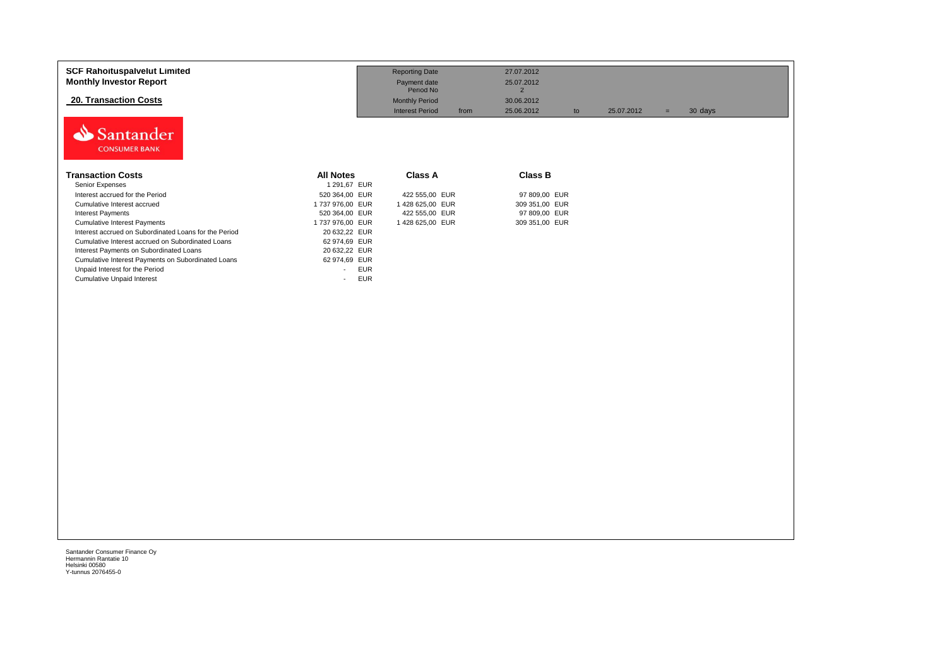| <b>SCF Rahoituspalvelut Limited</b><br><b>Monthly Investor Report</b> |                                        | <b>Reporting Date</b><br>Payment date<br>Period No | 27.07.2012<br>25.07.2012<br>$\overline{2}$ |            |                |  |
|-----------------------------------------------------------------------|----------------------------------------|----------------------------------------------------|--------------------------------------------|------------|----------------|--|
| <b>20. Transaction Costs</b>                                          |                                        | <b>Monthly Period</b>                              | 30.06.2012                                 |            |                |  |
|                                                                       |                                        | <b>Interest Period</b><br>from                     | 25.06.2012<br>to                           | 25.07.2012 | 30 days<br>$=$ |  |
| Santander<br><b>CONSUMER BANK</b>                                     |                                        |                                                    |                                            |            |                |  |
| <b>Transaction Costs</b>                                              | <b>All Notes</b>                       | Class A                                            | <b>Class B</b>                             |            |                |  |
| Senior Expenses                                                       | 1 291,67 EUR                           |                                                    |                                            |            |                |  |
| Interest accrued for the Period                                       | 520 364,00 EUR                         | 422 555,00 EUR                                     | 97 809,00 EUR                              |            |                |  |
| Cumulative Interest accrued                                           | 1737 976,00 EUR                        | 1428 625,00 EUR                                    | 309 351,00 EUR                             |            |                |  |
| <b>Interest Payments</b>                                              | 520 364,00 EUR                         | 422 555,00 EUR                                     | 97 809,00 EUR                              |            |                |  |
| <b>Cumulative Interest Payments</b>                                   | 1737 976,00 EUR                        | 1428 625,00 EUR                                    | 309 351,00 EUR                             |            |                |  |
| Interest accrued on Subordinated Loans for the Period                 | 20 632,22 EUR                          |                                                    |                                            |            |                |  |
| Cumulative Interest accrued on Subordinated Loans                     | 62 974,69 EUR                          |                                                    |                                            |            |                |  |
| Interest Payments on Subordinated Loans                               | 20 632,22 EUR                          |                                                    |                                            |            |                |  |
| Cumulative Interest Payments on Subordinated Loans                    | 62 974,69 EUR                          |                                                    |                                            |            |                |  |
| Unpaid Interest for the Period                                        | <b>EUR</b><br>$\overline{\phantom{a}}$ |                                                    |                                            |            |                |  |
| <b>Cumulative Unpaid Interest</b>                                     | <b>EUR</b><br>$\overline{\phantom{a}}$ |                                                    |                                            |            |                |  |
|                                                                       |                                        |                                                    |                                            |            |                |  |
|                                                                       |                                        |                                                    |                                            |            |                |  |
|                                                                       |                                        |                                                    |                                            |            |                |  |
|                                                                       |                                        |                                                    |                                            |            |                |  |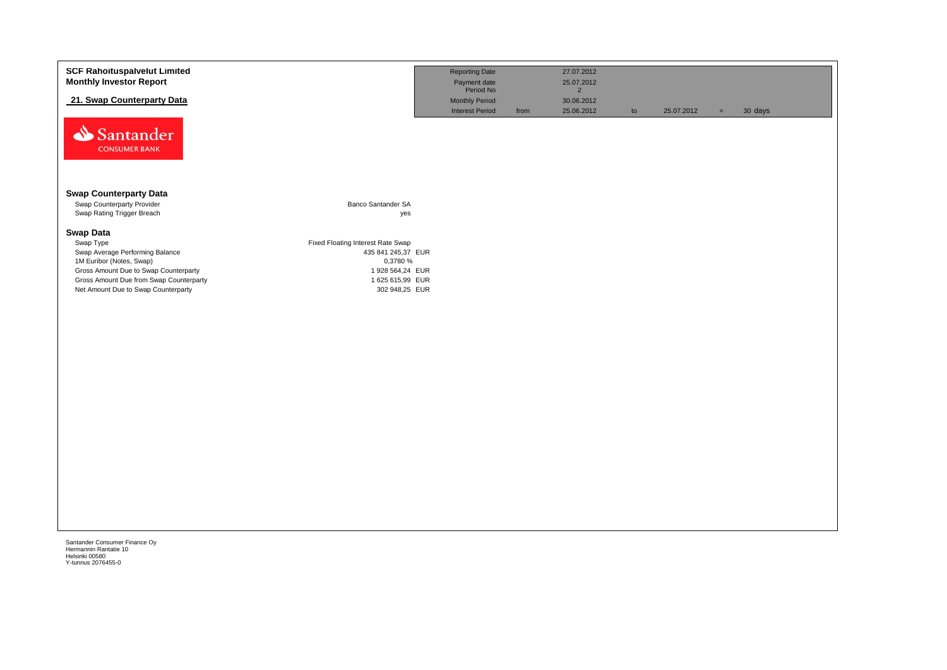| <b>SCF Rahoituspalvelut Limited</b>     |                                   | <b>Reporting Date</b>     |      | 27.07.2012     |    |            |     |         |
|-----------------------------------------|-----------------------------------|---------------------------|------|----------------|----|------------|-----|---------|
| <b>Monthly Investor Report</b>          |                                   | Payment date<br>Period No |      | 25.07.2012     |    |            |     |         |
|                                         |                                   |                           |      | $\overline{2}$ |    |            |     |         |
| 21. Swap Counterparty Data              |                                   | <b>Monthly Period</b>     |      | 30.06.2012     |    |            |     |         |
|                                         |                                   | <b>Interest Period</b>    | from | 25.06.2012     | to | 25.07.2012 | $=$ | 30 days |
| Santander                               |                                   |                           |      |                |    |            |     |         |
| <b>CONSUMER BANK</b>                    |                                   |                           |      |                |    |            |     |         |
|                                         |                                   |                           |      |                |    |            |     |         |
| <b>Swap Counterparty Data</b>           |                                   |                           |      |                |    |            |     |         |
| Swap Counterparty Provider              | Banco Santander SA                |                           |      |                |    |            |     |         |
| Swap Rating Trigger Breach              | yes                               |                           |      |                |    |            |     |         |
| <b>Swap Data</b>                        |                                   |                           |      |                |    |            |     |         |
| Swap Type                               | Fixed Floating Interest Rate Swap |                           |      |                |    |            |     |         |
| Swap Average Performing Balance         | 435 841 245,37 EUR                |                           |      |                |    |            |     |         |
| 1M Euribor (Notes, Swap)                | 0,3780 %                          |                           |      |                |    |            |     |         |
| Gross Amount Due to Swap Counterparty   | 1 928 564,24 EUR                  |                           |      |                |    |            |     |         |
| Gross Amount Due from Swap Counterparty | 1 625 615,99 EUR                  |                           |      |                |    |            |     |         |
| Net Amount Due to Swap Counterparty     | 302 948,25 EUR                    |                           |      |                |    |            |     |         |
|                                         |                                   |                           |      |                |    |            |     |         |
|                                         |                                   |                           |      |                |    |            |     |         |
|                                         |                                   |                           |      |                |    |            |     |         |
|                                         |                                   |                           |      |                |    |            |     |         |
|                                         |                                   |                           |      |                |    |            |     |         |
|                                         |                                   |                           |      |                |    |            |     |         |
|                                         |                                   |                           |      |                |    |            |     |         |
|                                         |                                   |                           |      |                |    |            |     |         |
|                                         |                                   |                           |      |                |    |            |     |         |
|                                         |                                   |                           |      |                |    |            |     |         |
|                                         |                                   |                           |      |                |    |            |     |         |
|                                         |                                   |                           |      |                |    |            |     |         |
|                                         |                                   |                           |      |                |    |            |     |         |
|                                         |                                   |                           |      |                |    |            |     |         |
|                                         |                                   |                           |      |                |    |            |     |         |
|                                         |                                   |                           |      |                |    |            |     |         |